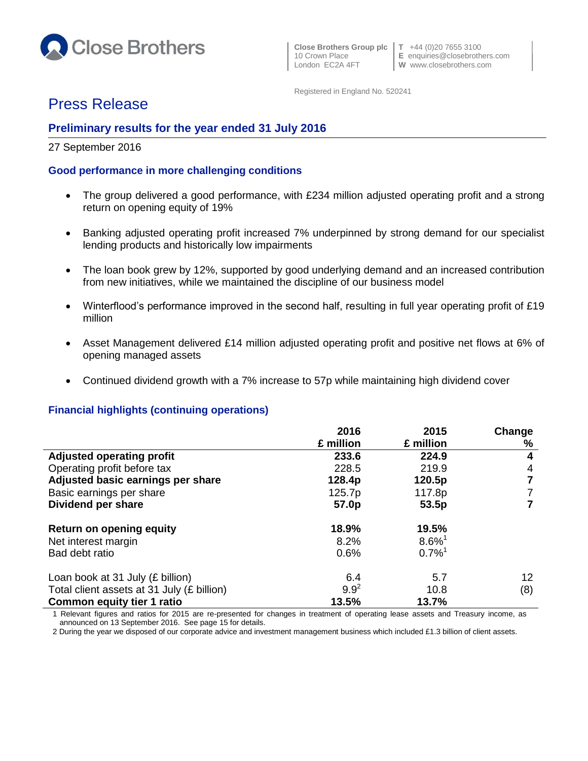

 **Close Brothers Group plc T** +44 (0)20 7655 3100 10 Crown Place **E** enquiries@closebrothers.com<br>
London EC2A 4FT **W** www.closebrothers.com

**W** www.closebrothers.com

Registered in England No. 520241

# Press Release

## **Preliminary results for the year ended 31 July 2016**

## 27 September 2016

## **Good performance in more challenging conditions**

- The group delivered a good performance, with £234 million adjusted operating profit and a strong return on opening equity of 19%
- Banking adjusted operating profit increased 7% underpinned by strong demand for our specialist lending products and historically low impairments
- The loan book grew by 12%, supported by good underlying demand and an increased contribution from new initiatives, while we maintained the discipline of our business model
- Winterflood's performance improved in the second half, resulting in full year operating profit of £19 million
- Asset Management delivered £14 million adjusted operating profit and positive net flows at 6% of opening managed assets
- Continued dividend growth with a 7% increase to 57p while maintaining high dividend cover

## **Financial highlights (continuing operations)**

|                                            | 2016              | 2015                 | Change          |
|--------------------------------------------|-------------------|----------------------|-----------------|
|                                            | £ million         | £ million            | %               |
| <b>Adjusted operating profit</b>           | 233.6             | 224.9                | 4               |
| Operating profit before tax                | 228.5             | 219.9                | 4               |
| Adjusted basic earnings per share          | 128.4p            | 120.5p               | 7               |
| Basic earnings per share                   | 125.7p            | 117.8p               | 7               |
| Dividend per share                         | 57.0 <sub>p</sub> | 53.5p                | 7               |
| <b>Return on opening equity</b>            | 18.9%             | 19.5%                |                 |
| Net interest margin                        | 8.2%              | $8.6\%$ <sup>1</sup> |                 |
| Bad debt ratio                             | 0.6%              | $0.7\%$ <sup>1</sup> |                 |
| Loan book at 31 July (£ billion)           | 6.4               | 5.7                  | 12 <sup>°</sup> |
| Total client assets at 31 July (£ billion) | $9.9^{2}$         | 10.8                 | (8)             |
| <b>Common equity tier 1 ratio</b>          | 13.5%             | 13.7%                |                 |

1 Relevant figures and ratios for 2015 are re-presented for changes in treatment of operating lease assets and Treasury income, as announced on 13 September 2016. See page 15 for details.

2 During the year we disposed of our corporate advice and investment management business which included £1.3 billion of client assets.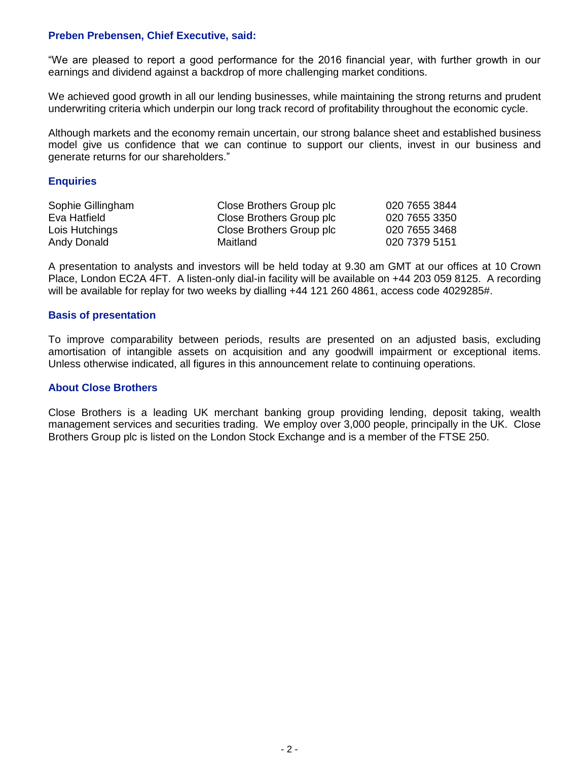#### **Preben Prebensen, Chief Executive, said:**

"We are pleased to report a good performance for the 2016 financial year, with further growth in our earnings and dividend against a backdrop of more challenging market conditions.

We achieved good growth in all our lending businesses, while maintaining the strong returns and prudent underwriting criteria which underpin our long track record of profitability throughout the economic cycle.

Although markets and the economy remain uncertain, our strong balance sheet and established business model give us confidence that we can continue to support our clients, invest in our business and generate returns for our shareholders."

#### **Enquiries**

| Sophie Gillingham | Close Brothers Group plc | 020 7655 3844 |
|-------------------|--------------------------|---------------|
| Eva Hatfield      | Close Brothers Group plc | 020 7655 3350 |
| Lois Hutchings    | Close Brothers Group plc | 020 7655 3468 |
| Andy Donald       | Maitland                 | 020 7379 5151 |

A presentation to analysts and investors will be held today at 9.30 am GMT at our offices at 10 Crown Place, London EC2A 4FT. A listen-only dial-in facility will be available on +44 203 059 8125. A recording will be available for replay for two weeks by dialling +44 121 260 4861, access code 4029285#.

#### **Basis of presentation**

To improve comparability between periods, results are presented on an adjusted basis, excluding amortisation of intangible assets on acquisition and any goodwill impairment or exceptional items. Unless otherwise indicated, all figures in this announcement relate to continuing operations.

#### **About Close Brothers**

Close Brothers is a leading UK merchant banking group providing lending, deposit taking, wealth management services and securities trading. We employ over 3,000 people, principally in the UK. Close Brothers Group plc is listed on the London Stock Exchange and is a member of the FTSE 250.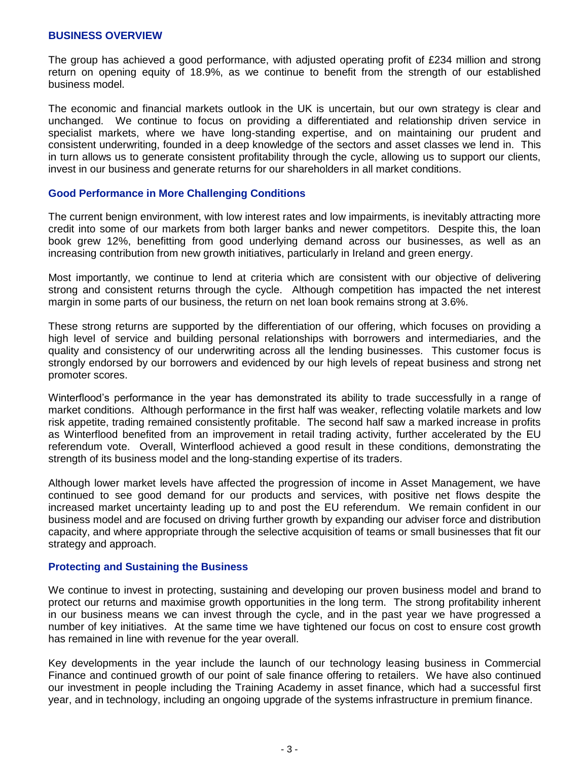#### **BUSINESS OVERVIEW**

The group has achieved a good performance, with adjusted operating profit of £234 million and strong return on opening equity of 18.9%, as we continue to benefit from the strength of our established business model.

The economic and financial markets outlook in the UK is uncertain, but our own strategy is clear and unchanged. We continue to focus on providing a differentiated and relationship driven service in specialist markets, where we have long-standing expertise, and on maintaining our prudent and consistent underwriting, founded in a deep knowledge of the sectors and asset classes we lend in. This in turn allows us to generate consistent profitability through the cycle, allowing us to support our clients, invest in our business and generate returns for our shareholders in all market conditions.

#### **Good Performance in More Challenging Conditions**

The current benign environment, with low interest rates and low impairments, is inevitably attracting more credit into some of our markets from both larger banks and newer competitors. Despite this, the loan book grew 12%, benefitting from good underlying demand across our businesses, as well as an increasing contribution from new growth initiatives, particularly in Ireland and green energy.

Most importantly, we continue to lend at criteria which are consistent with our objective of delivering strong and consistent returns through the cycle. Although competition has impacted the net interest margin in some parts of our business, the return on net loan book remains strong at 3.6%.

These strong returns are supported by the differentiation of our offering, which focuses on providing a high level of service and building personal relationships with borrowers and intermediaries, and the quality and consistency of our underwriting across all the lending businesses. This customer focus is strongly endorsed by our borrowers and evidenced by our high levels of repeat business and strong net promoter scores.

Winterflood's performance in the year has demonstrated its ability to trade successfully in a range of market conditions. Although performance in the first half was weaker, reflecting volatile markets and low risk appetite, trading remained consistently profitable. The second half saw a marked increase in profits as Winterflood benefited from an improvement in retail trading activity, further accelerated by the EU referendum vote. Overall, Winterflood achieved a good result in these conditions, demonstrating the strength of its business model and the long-standing expertise of its traders.

Although lower market levels have affected the progression of income in Asset Management, we have continued to see good demand for our products and services, with positive net flows despite the increased market uncertainty leading up to and post the EU referendum. We remain confident in our business model and are focused on driving further growth by expanding our adviser force and distribution capacity, and where appropriate through the selective acquisition of teams or small businesses that fit our strategy and approach.

#### **Protecting and Sustaining the Business**

We continue to invest in protecting, sustaining and developing our proven business model and brand to protect our returns and maximise growth opportunities in the long term. The strong profitability inherent in our business means we can invest through the cycle, and in the past year we have progressed a number of key initiatives. At the same time we have tightened our focus on cost to ensure cost growth has remained in line with revenue for the year overall.

Key developments in the year include the launch of our technology leasing business in Commercial Finance and continued growth of our point of sale finance offering to retailers. We have also continued our investment in people including the Training Academy in asset finance, which had a successful first year, and in technology, including an ongoing upgrade of the systems infrastructure in premium finance.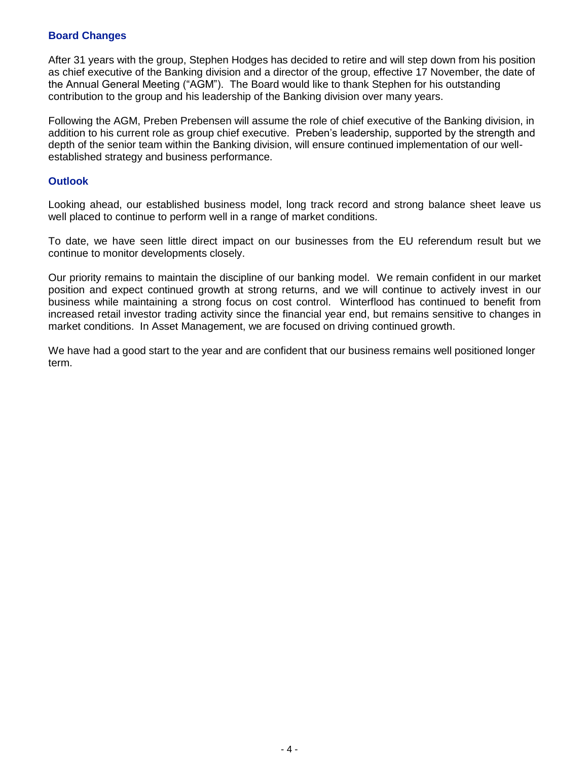## **Board Changes**

After 31 years with the group, Stephen Hodges has decided to retire and will step down from his position as chief executive of the Banking division and a director of the group, effective 17 November, the date of the Annual General Meeting ("AGM"). The Board would like to thank Stephen for his outstanding contribution to the group and his leadership of the Banking division over many years.

Following the AGM, Preben Prebensen will assume the role of chief executive of the Banking division, in addition to his current role as group chief executive. Preben's leadership, supported by the strength and depth of the senior team within the Banking division, will ensure continued implementation of our wellestablished strategy and business performance.

### **Outlook**

Looking ahead, our established business model, long track record and strong balance sheet leave us well placed to continue to perform well in a range of market conditions.

To date, we have seen little direct impact on our businesses from the EU referendum result but we continue to monitor developments closely.

Our priority remains to maintain the discipline of our banking model. We remain confident in our market position and expect continued growth at strong returns, and we will continue to actively invest in our business while maintaining a strong focus on cost control. Winterflood has continued to benefit from increased retail investor trading activity since the financial year end, but remains sensitive to changes in market conditions. In Asset Management, we are focused on driving continued growth.

We have had a good start to the year and are confident that our business remains well positioned longer term.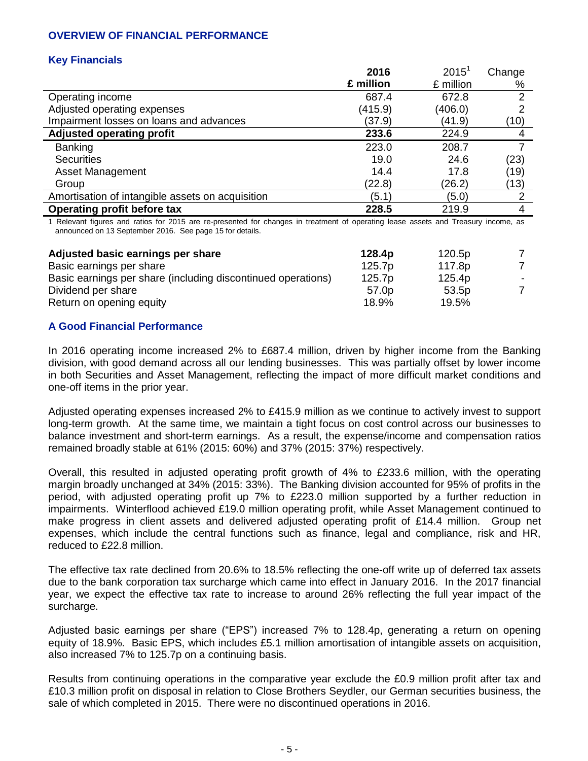## **OVERVIEW OF FINANCIAL PERFORMANCE**

## **Key Financials**

|                                                  | 2016      | $2015^1$  | Change        |
|--------------------------------------------------|-----------|-----------|---------------|
|                                                  | £ million | £ million | %             |
| Operating income                                 | 687.4     | 672.8     | $\mathcal{P}$ |
| Adjusted operating expenses                      | (415.9)   | (406.0)   | າ             |
| Impairment losses on loans and advances          | (37.9)    | (41.9)    | (10)          |
| <b>Adjusted operating profit</b>                 | 233.6     | 224.9     |               |
| <b>Banking</b>                                   | 223.0     | 208.7     |               |
| <b>Securities</b>                                | 19.0      | 24.6      | (23)          |
| Asset Management                                 | 14.4      | 17.8      | (19)          |
| Group                                            | (22.8)    | (26.2)    | (13)          |
| Amortisation of intangible assets on acquisition | (5.1)     | (5.0)     | 2             |
| <b>Operating profit before tax</b>               | 228.5     | 219.9     | 4             |

1 Relevant figures and ratios for 2015 are re-presented for changes in treatment of operating lease assets and Treasury income, as announced on 13 September 2016. See page 15 for details.

| Adjusted basic earnings per share                            | 128.4p            | 120.5p |   |
|--------------------------------------------------------------|-------------------|--------|---|
| Basic earnings per share                                     | 125.7p            | 117.8p |   |
| Basic earnings per share (including discontinued operations) | 125.7p            | 125.4p |   |
| Dividend per share                                           | 57.0 <sub>p</sub> | 53.5p  | 7 |
| Return on opening equity                                     | 18.9%             | 19.5%  |   |

## **A Good Financial Performance**

In 2016 operating income increased 2% to £687.4 million, driven by higher income from the Banking division, with good demand across all our lending businesses. This was partially offset by lower income in both Securities and Asset Management, reflecting the impact of more difficult market conditions and one-off items in the prior year.

Adjusted operating expenses increased 2% to £415.9 million as we continue to actively invest to support long-term growth. At the same time, we maintain a tight focus on cost control across our businesses to balance investment and short-term earnings. As a result, the expense/income and compensation ratios remained broadly stable at 61% (2015: 60%) and 37% (2015: 37%) respectively.

Overall, this resulted in adjusted operating profit growth of 4% to £233.6 million, with the operating margin broadly unchanged at 34% (2015: 33%). The Banking division accounted for 95% of profits in the period, with adjusted operating profit up 7% to £223.0 million supported by a further reduction in impairments. Winterflood achieved £19.0 million operating profit, while Asset Management continued to make progress in client assets and delivered adjusted operating profit of £14.4 million. Group net expenses, which include the central functions such as finance, legal and compliance, risk and HR, reduced to £22.8 million.

The effective tax rate declined from 20.6% to 18.5% reflecting the one-off write up of deferred tax assets due to the bank corporation tax surcharge which came into effect in January 2016. In the 2017 financial year, we expect the effective tax rate to increase to around 26% reflecting the full year impact of the surcharge.

Adjusted basic earnings per share ("EPS") increased 7% to 128.4p, generating a return on opening equity of 18.9%. Basic EPS, which includes £5.1 million amortisation of intangible assets on acquisition, also increased 7% to 125.7p on a continuing basis.

Results from continuing operations in the comparative year exclude the £0.9 million profit after tax and £10.3 million profit on disposal in relation to Close Brothers Seydler, our German securities business, the sale of which completed in 2015. There were no discontinued operations in 2016.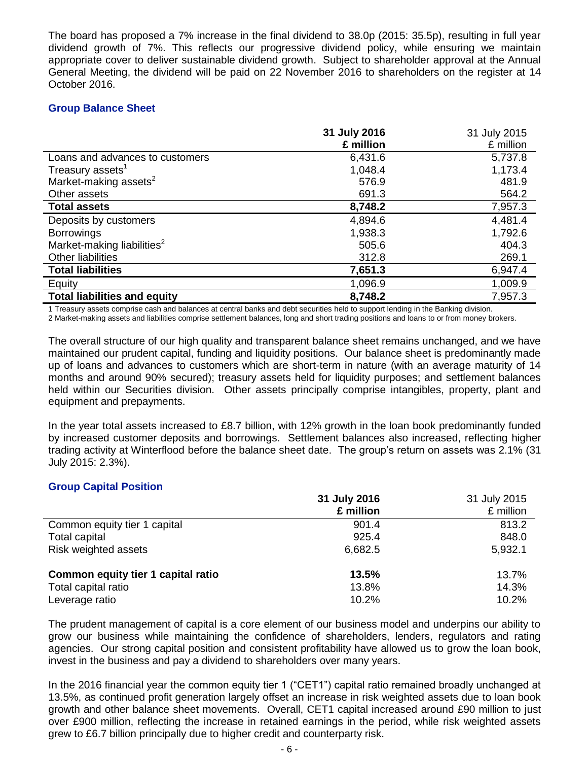The board has proposed a 7% increase in the final dividend to 38.0p (2015: 35.5p), resulting in full year dividend growth of 7%. This reflects our progressive dividend policy, while ensuring we maintain appropriate cover to deliver sustainable dividend growth. Subject to shareholder approval at the Annual General Meeting, the dividend will be paid on 22 November 2016 to shareholders on the register at 14 October 2016.

## **Group Balance Sheet**

|                                        | 31 July 2016 | 31 July 2015 |
|----------------------------------------|--------------|--------------|
|                                        | £ million    | £ million    |
| Loans and advances to customers        | 6,431.6      | 5,737.8      |
| Treasury assets <sup>1</sup>           | 1,048.4      | 1,173.4      |
| Market-making assets <sup>2</sup>      | 576.9        | 481.9        |
| Other assets                           | 691.3        | 564.2        |
| <b>Total assets</b>                    | 8,748.2      | 7,957.3      |
| Deposits by customers                  | 4,894.6      | 4,481.4      |
| <b>Borrowings</b>                      | 1,938.3      | 1,792.6      |
| Market-making liabilities <sup>2</sup> | 505.6        | 404.3        |
| <b>Other liabilities</b>               | 312.8        | 269.1        |
| <b>Total liabilities</b>               | 7,651.3      | 6,947.4      |
| Equity                                 | 1,096.9      | 1,009.9      |
| <b>Total liabilities and equity</b>    | 8,748.2      | 7,957.3      |

1 Treasury assets comprise cash and balances at central banks and debt securities held to support lending in the Banking division. 2 Market-making assets and liabilities comprise settlement balances, long and short trading positions and loans to or from money brokers.

The overall structure of our high quality and transparent balance sheet remains unchanged, and we have maintained our prudent capital, funding and liquidity positions. Our balance sheet is predominantly made up of loans and advances to customers which are short-term in nature (with an average maturity of 14 months and around 90% secured); treasury assets held for liquidity purposes; and settlement balances held within our Securities division. Other assets principally comprise intangibles, property, plant and equipment and prepayments.

In the year total assets increased to £8.7 billion, with 12% growth in the loan book predominantly funded by increased customer deposits and borrowings. Settlement balances also increased, reflecting higher trading activity at Winterflood before the balance sheet date. The group's return on assets was 2.1% (31 July 2015: 2.3%).

## **Group Capital Position**

|                                    | 31 July 2016 | 31 July 2015 |
|------------------------------------|--------------|--------------|
|                                    | £ million    | £ million    |
| Common equity tier 1 capital       | 901.4        | 813.2        |
| Total capital                      | 925.4        | 848.0        |
| Risk weighted assets               | 6,682.5      | 5,932.1      |
| Common equity tier 1 capital ratio | 13.5%        | 13.7%        |
| Total capital ratio                | 13.8%        | 14.3%        |
| Leverage ratio                     | 10.2%        | 10.2%        |

The prudent management of capital is a core element of our business model and underpins our ability to grow our business while maintaining the confidence of shareholders, lenders, regulators and rating agencies. Our strong capital position and consistent profitability have allowed us to grow the loan book, invest in the business and pay a dividend to shareholders over many years.

In the 2016 financial year the common equity tier 1 ("CET1") capital ratio remained broadly unchanged at 13.5%, as continued profit generation largely offset an increase in risk weighted assets due to loan book growth and other balance sheet movements. Overall, CET1 capital increased around £90 million to just over £900 million, reflecting the increase in retained earnings in the period, while risk weighted assets grew to £6.7 billion principally due to higher credit and counterparty risk.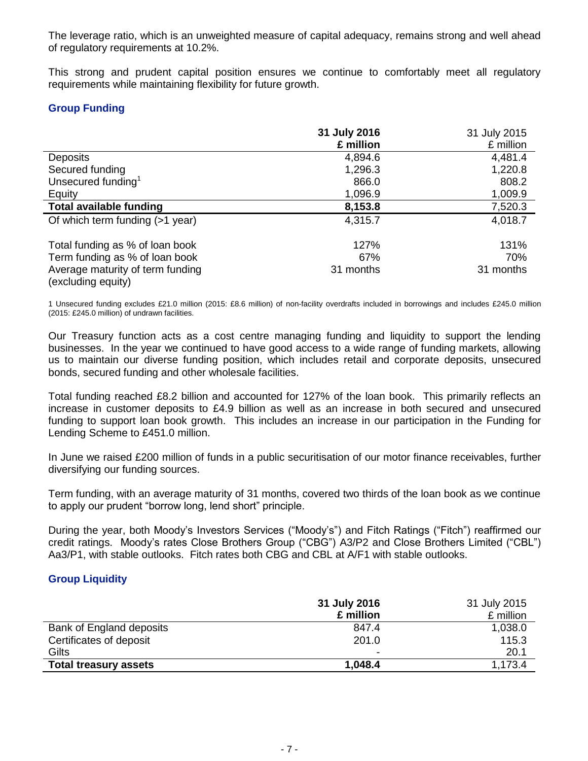The leverage ratio, which is an unweighted measure of capital adequacy, remains strong and well ahead of regulatory requirements at 10.2%.

This strong and prudent capital position ensures we continue to comfortably meet all regulatory requirements while maintaining flexibility for future growth.

## **Group Funding**

|                                                        | 31 July 2016 | 31 July 2015 |
|--------------------------------------------------------|--------------|--------------|
|                                                        | £ million    | £ million    |
| <b>Deposits</b>                                        | 4,894.6      | 4,481.4      |
| Secured funding                                        | 1,296.3      | 1,220.8      |
| Unsecured funding <sup>1</sup>                         | 866.0        | 808.2        |
| Equity                                                 | 1,096.9      | 1,009.9      |
| <b>Total available funding</b>                         | 8,153.8      | 7,520.3      |
| Of which term funding (>1 year)                        | 4,315.7      | 4,018.7      |
| Total funding as % of loan book                        | 127%         | 131%         |
| Term funding as % of loan book                         | 67%          | 70%          |
| Average maturity of term funding<br>(excluding equity) | 31 months    | 31 months    |

1 Unsecured funding excludes £21.0 million (2015: £8.6 million) of non-facility overdrafts included in borrowings and includes £245.0 million (2015: £245.0 million) of undrawn facilities.

Our Treasury function acts as a cost centre managing funding and liquidity to support the lending businesses. In the year we continued to have good access to a wide range of funding markets, allowing us to maintain our diverse funding position, which includes retail and corporate deposits, unsecured bonds, secured funding and other wholesale facilities.

Total funding reached £8.2 billion and accounted for 127% of the loan book. This primarily reflects an increase in customer deposits to £4.9 billion as well as an increase in both secured and unsecured funding to support loan book growth. This includes an increase in our participation in the Funding for Lending Scheme to £451.0 million.

In June we raised £200 million of funds in a public securitisation of our motor finance receivables, further diversifying our funding sources.

Term funding, with an average maturity of 31 months, covered two thirds of the loan book as we continue to apply our prudent "borrow long, lend short" principle.

During the year, both Moody's Investors Services ("Moody's") and Fitch Ratings ("Fitch") reaffirmed our credit ratings. Moody's rates Close Brothers Group ("CBG") A3/P2 and Close Brothers Limited ("CBL") Aa3/P1, with stable outlooks. Fitch rates both CBG and CBL at A/F1 with stable outlooks.

#### **Group Liquidity**

|                              | 31 July 2016             | 31 July 2015 |
|------------------------------|--------------------------|--------------|
|                              | £ million                | £ million    |
| Bank of England deposits     | 847.4                    | 1,038.0      |
| Certificates of deposit      | 201.0                    | 115.3        |
| Gilts                        | $\overline{\phantom{a}}$ | 20.1         |
| <b>Total treasury assets</b> | 1,048.4                  | 1,173.4      |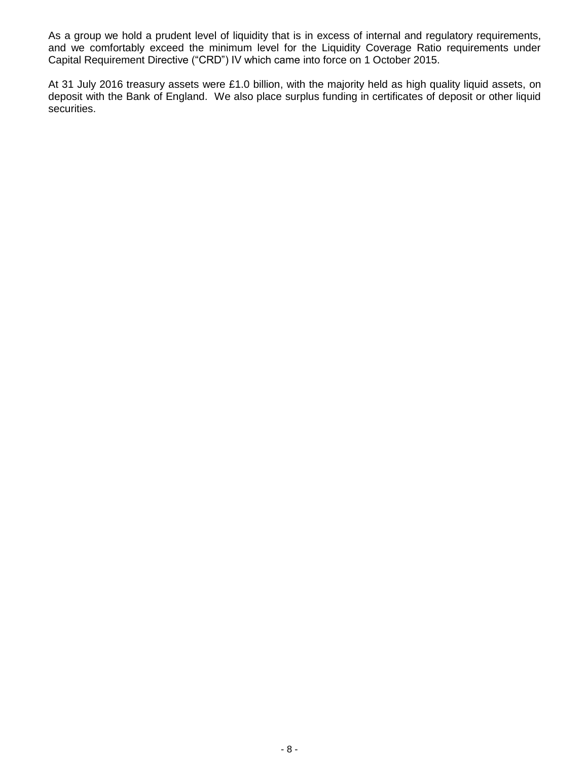As a group we hold a prudent level of liquidity that is in excess of internal and regulatory requirements, and we comfortably exceed the minimum level for the Liquidity Coverage Ratio requirements under Capital Requirement Directive ("CRD") IV which came into force on 1 October 2015.

At 31 July 2016 treasury assets were £1.0 billion, with the majority held as high quality liquid assets, on deposit with the Bank of England. We also place surplus funding in certificates of deposit or other liquid securities.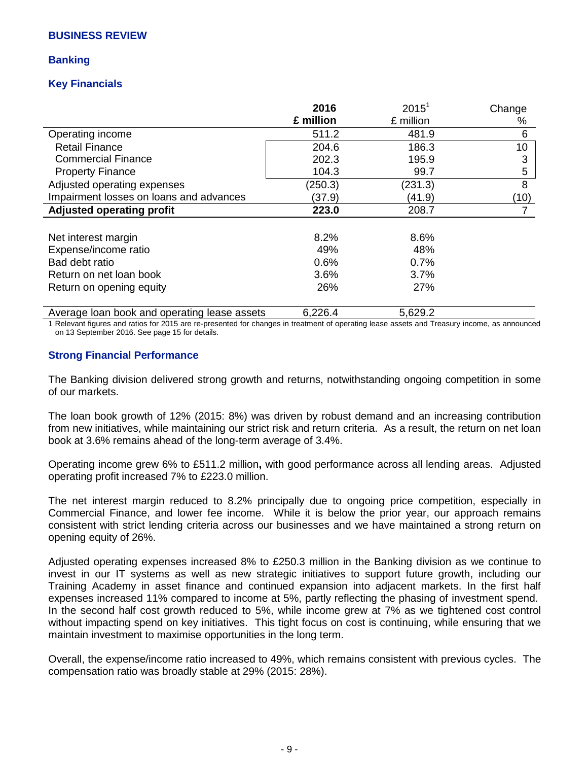#### **BUSINESS REVIEW**

### **Banking**

## **Key Financials**

|                                                                                                                                                                                                                               | 2016      | 2015 <sup>1</sup> | Change          |
|-------------------------------------------------------------------------------------------------------------------------------------------------------------------------------------------------------------------------------|-----------|-------------------|-----------------|
|                                                                                                                                                                                                                               | £ million | £ million         | %               |
| Operating income                                                                                                                                                                                                              | 511.2     | 481.9             | 6               |
| <b>Retail Finance</b>                                                                                                                                                                                                         | 204.6     | 186.3             | 10 <sup>1</sup> |
| <b>Commercial Finance</b>                                                                                                                                                                                                     | 202.3     | 195.9             | 3               |
| <b>Property Finance</b>                                                                                                                                                                                                       | 104.3     | 99.7              | 5               |
| Adjusted operating expenses                                                                                                                                                                                                   | (250.3)   | (231.3)           | 8               |
| Impairment losses on loans and advances                                                                                                                                                                                       | (37.9)    | (41.9)            | (10)            |
| Adjusted operating profit                                                                                                                                                                                                     | 223.0     | 208.7             |                 |
|                                                                                                                                                                                                                               |           |                   |                 |
| Net interest margin                                                                                                                                                                                                           | 8.2%      | 8.6%              |                 |
| Expense/income ratio                                                                                                                                                                                                          | 49%       | 48%               |                 |
| Bad debt ratio                                                                                                                                                                                                                | 0.6%      | 0.7%              |                 |
| Return on net loan book                                                                                                                                                                                                       | 3.6%      | 3.7%              |                 |
| Return on opening equity                                                                                                                                                                                                      | 26%       | 27%               |                 |
| Access and the section of the complete and some sections of the section of the section of the section of the section of the section of the section of the section of the section of the section of the section of the section | .         | r 000 0           |                 |

Average loan book and operating lease assets 6,226.4 6,296.2 5,629.2

1 Relevant figures and ratios for 2015 are re-presented for changes in treatment of operating lease assets and Treasury income, as announced on 13 September 2016. See page 15 for details.

### **Strong Financial Performance**

The Banking division delivered strong growth and returns, notwithstanding ongoing competition in some of our markets.

The loan book growth of 12% (2015: 8%) was driven by robust demand and an increasing contribution from new initiatives, while maintaining our strict risk and return criteria. As a result, the return on net loan book at 3.6% remains ahead of the long-term average of 3.4%.

Operating income grew 6% to £511.2 million**,** with good performance across all lending areas. Adjusted operating profit increased 7% to £223.0 million.

The net interest margin reduced to 8.2% principally due to ongoing price competition, especially in Commercial Finance, and lower fee income. While it is below the prior year, our approach remains consistent with strict lending criteria across our businesses and we have maintained a strong return on opening equity of 26%.

Adjusted operating expenses increased 8% to £250.3 million in the Banking division as we continue to invest in our IT systems as well as new strategic initiatives to support future growth, including our Training Academy in asset finance and continued expansion into adjacent markets. In the first half expenses increased 11% compared to income at 5%, partly reflecting the phasing of investment spend. In the second half cost growth reduced to 5%, while income grew at 7% as we tightened cost control without impacting spend on key initiatives. This tight focus on cost is continuing, while ensuring that we maintain investment to maximise opportunities in the long term.

Overall, the expense/income ratio increased to 49%, which remains consistent with previous cycles. The compensation ratio was broadly stable at 29% (2015: 28%).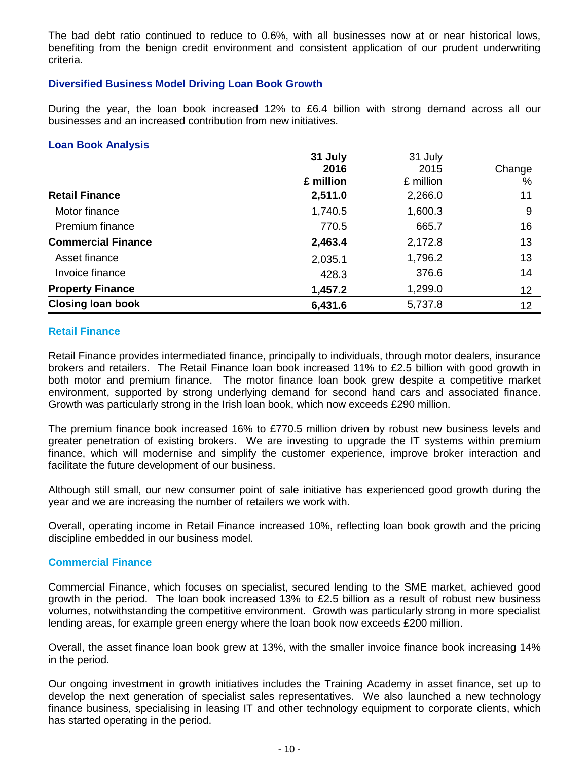The bad debt ratio continued to reduce to 0.6%, with all businesses now at or near historical lows, benefiting from the benign credit environment and consistent application of our prudent underwriting criteria.

## **Diversified Business Model Driving Loan Book Growth**

During the year, the loan book increased 12% to £6.4 billion with strong demand across all our businesses and an increased contribution from new initiatives.

### **Loan Book Analysis**

|                           | 31 July   | 31 July   |        |
|---------------------------|-----------|-----------|--------|
|                           | 2016      | 2015      | Change |
|                           | £ million | £ million | %      |
| <b>Retail Finance</b>     | 2,511.0   | 2,266.0   | 11     |
| Motor finance             | 1,740.5   | 1,600.3   | 9      |
| Premium finance           | 770.5     | 665.7     | 16     |
| <b>Commercial Finance</b> | 2,463.4   | 2,172.8   | 13     |
| Asset finance             | 2,035.1   | 1,796.2   | 13     |
| Invoice finance           | 428.3     | 376.6     | 14     |
| <b>Property Finance</b>   | 1,457.2   | 1,299.0   | 12     |
| <b>Closing loan book</b>  | 6,431.6   | 5,737.8   | 12     |

### **Retail Finance**

Retail Finance provides intermediated finance, principally to individuals, through motor dealers, insurance brokers and retailers. The Retail Finance loan book increased 11% to £2.5 billion with good growth in both motor and premium finance. The motor finance loan book grew despite a competitive market environment, supported by strong underlying demand for second hand cars and associated finance. Growth was particularly strong in the Irish loan book, which now exceeds £290 million.

The premium finance book increased 16% to £770.5 million driven by robust new business levels and greater penetration of existing brokers. We are investing to upgrade the IT systems within premium finance, which will modernise and simplify the customer experience, improve broker interaction and facilitate the future development of our business.

Although still small, our new consumer point of sale initiative has experienced good growth during the year and we are increasing the number of retailers we work with.

Overall, operating income in Retail Finance increased 10%, reflecting loan book growth and the pricing discipline embedded in our business model.

#### **Commercial Finance**

Commercial Finance, which focuses on specialist, secured lending to the SME market, achieved good growth in the period. The loan book increased 13% to £2.5 billion as a result of robust new business volumes, notwithstanding the competitive environment. Growth was particularly strong in more specialist lending areas, for example green energy where the loan book now exceeds £200 million.

Overall, the asset finance loan book grew at 13%, with the smaller invoice finance book increasing 14% in the period.

Our ongoing investment in growth initiatives includes the Training Academy in asset finance, set up to develop the next generation of specialist sales representatives. We also launched a new technology finance business, specialising in leasing IT and other technology equipment to corporate clients, which has started operating in the period.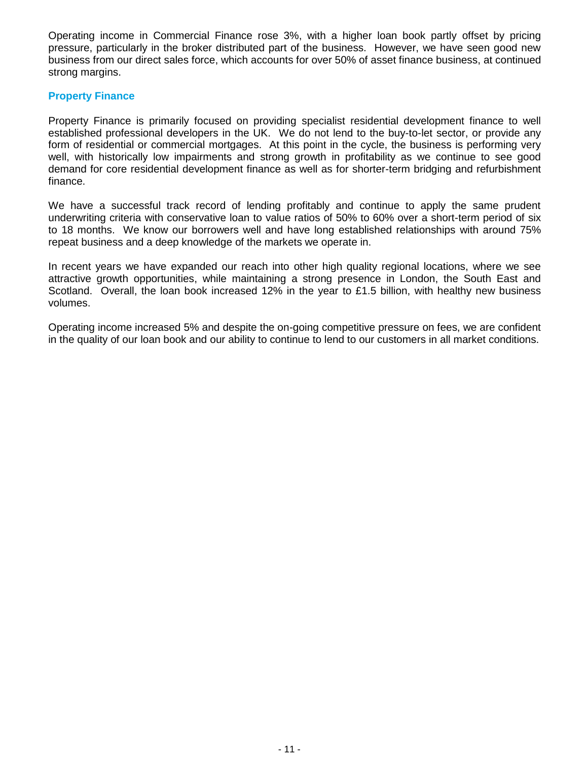Operating income in Commercial Finance rose 3%, with a higher loan book partly offset by pricing pressure, particularly in the broker distributed part of the business. However, we have seen good new business from our direct sales force, which accounts for over 50% of asset finance business, at continued strong margins.

#### **Property Finance**

Property Finance is primarily focused on providing specialist residential development finance to well established professional developers in the UK. We do not lend to the buy-to-let sector, or provide any form of residential or commercial mortgages. At this point in the cycle, the business is performing very well, with historically low impairments and strong growth in profitability as we continue to see good demand for core residential development finance as well as for shorter-term bridging and refurbishment finance.

We have a successful track record of lending profitably and continue to apply the same prudent underwriting criteria with conservative loan to value ratios of 50% to 60% over a short-term period of six to 18 months. We know our borrowers well and have long established relationships with around 75% repeat business and a deep knowledge of the markets we operate in.

In recent years we have expanded our reach into other high quality regional locations, where we see attractive growth opportunities, while maintaining a strong presence in London, the South East and Scotland. Overall, the loan book increased 12% in the year to £1.5 billion, with healthy new business volumes.

Operating income increased 5% and despite the on-going competitive pressure on fees, we are confident in the quality of our loan book and our ability to continue to lend to our customers in all market conditions.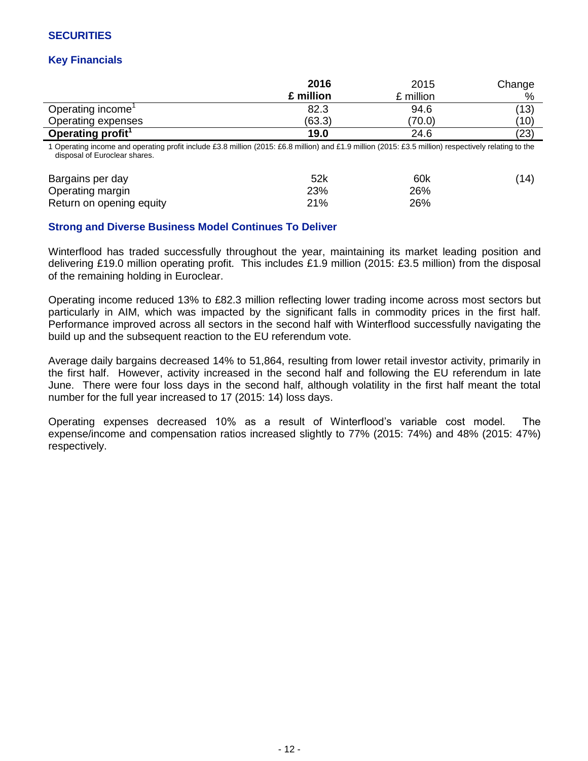## **SECURITIES**

## **Key Financials**

|                                                                                                                                                                                       | 2016      | 2015      | Change |
|---------------------------------------------------------------------------------------------------------------------------------------------------------------------------------------|-----------|-----------|--------|
|                                                                                                                                                                                       | £ million | £ million | %      |
| Operating income <sup>1</sup>                                                                                                                                                         | 82.3      | 94.6      | (13)   |
| Operating expenses                                                                                                                                                                    | (63.3)    | (70.0)    | (10)   |
| Operating profit <sup>1</sup>                                                                                                                                                         | 19.0      | 24.6      | (23)   |
| 1 Operating income and operating profit include £3.8 million (2015: £6.8 million) and £1.9 million (2015: £3.5 million) respectively relating to the<br>disposal of Euroclear shares. |           |           |        |
| Bargains per day                                                                                                                                                                      | 52k       | 60k       | (14)   |
| Operating margin                                                                                                                                                                      | 23%       | 26%       |        |
| Return on opening equity                                                                                                                                                              | 21%       | 26%       |        |

### **Strong and Diverse Business Model Continues To Deliver**

Winterflood has traded successfully throughout the year, maintaining its market leading position and delivering £19.0 million operating profit. This includes £1.9 million (2015: £3.5 million) from the disposal of the remaining holding in Euroclear.

Operating income reduced 13% to £82.3 million reflecting lower trading income across most sectors but particularly in AIM, which was impacted by the significant falls in commodity prices in the first half. Performance improved across all sectors in the second half with Winterflood successfully navigating the build up and the subsequent reaction to the EU referendum vote.

Average daily bargains decreased 14% to 51,864, resulting from lower retail investor activity, primarily in the first half. However, activity increased in the second half and following the EU referendum in late June. There were four loss days in the second half, although volatility in the first half meant the total number for the full year increased to 17 (2015: 14) loss days.

Operating expenses decreased 10% as a result of Winterflood's variable cost model. The expense/income and compensation ratios increased slightly to 77% (2015: 74%) and 48% (2015: 47%) respectively.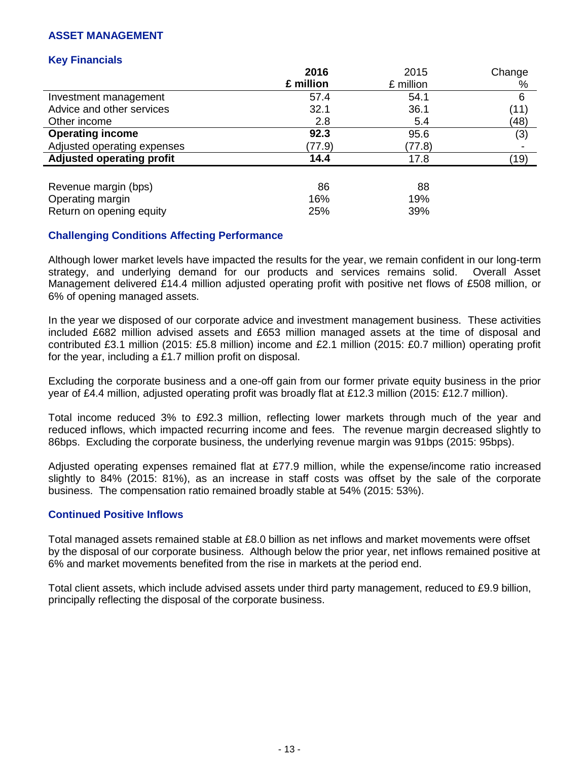## **ASSET MANAGEMENT**

#### **Key Financials**

|                                  | 2016      | 2015      | Change |
|----------------------------------|-----------|-----------|--------|
|                                  | £ million | £ million | %      |
| Investment management            | 57.4      | 54.1      | 6      |
| Advice and other services        | 32.1      | 36.1      | (11)   |
| Other income                     | 2.8       | 5.4       | (48)   |
| <b>Operating income</b>          | 92.3      | 95.6      | (3)    |
| Adjusted operating expenses      | (77.9)    | (77.8)    |        |
| <b>Adjusted operating profit</b> | 14.4      | 17.8      | (19)   |
|                                  |           |           |        |
| Revenue margin (bps)             | 86        | 88        |        |
| Operating margin                 | 16%       | 19%       |        |
| Return on opening equity         | 25%       | 39%       |        |

## **Challenging Conditions Affecting Performance**

Although lower market levels have impacted the results for the year, we remain confident in our long-term strategy, and underlying demand for our products and services remains solid. Overall Asset Management delivered £14.4 million adjusted operating profit with positive net flows of £508 million, or 6% of opening managed assets.

In the year we disposed of our corporate advice and investment management business. These activities included £682 million advised assets and £653 million managed assets at the time of disposal and contributed £3.1 million (2015: £5.8 million) income and £2.1 million (2015: £0.7 million) operating profit for the year, including a £1.7 million profit on disposal.

Excluding the corporate business and a one-off gain from our former private equity business in the prior year of £4.4 million, adjusted operating profit was broadly flat at £12.3 million (2015: £12.7 million).

Total income reduced 3% to £92.3 million, reflecting lower markets through much of the year and reduced inflows, which impacted recurring income and fees. The revenue margin decreased slightly to 86bps. Excluding the corporate business, the underlying revenue margin was 91bps (2015: 95bps).

Adjusted operating expenses remained flat at £77.9 million, while the expense/income ratio increased slightly to 84% (2015: 81%), as an increase in staff costs was offset by the sale of the corporate business. The compensation ratio remained broadly stable at 54% (2015: 53%).

#### **Continued Positive Inflows**

Total managed assets remained stable at £8.0 billion as net inflows and market movements were offset by the disposal of our corporate business. Although below the prior year, net inflows remained positive at 6% and market movements benefited from the rise in markets at the period end.

Total client assets, which include advised assets under third party management, reduced to £9.9 billion, principally reflecting the disposal of the corporate business.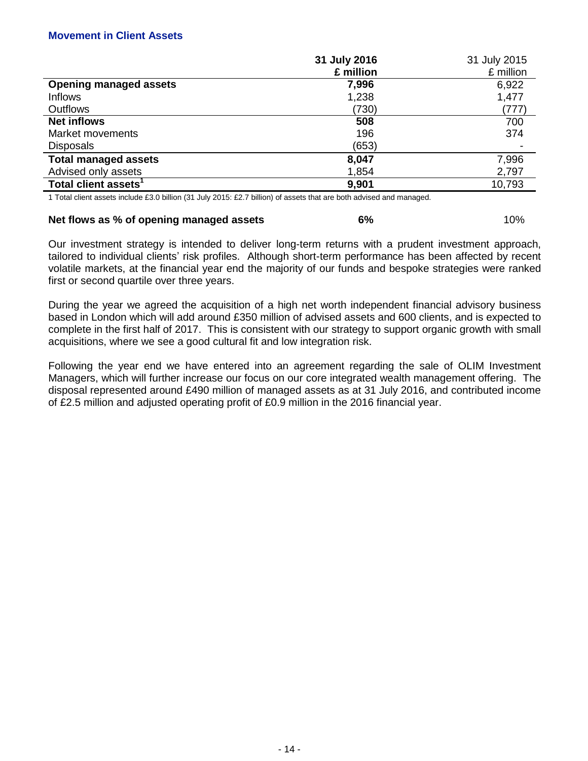### **Movement in Client Assets**

|                                  | 31 July 2016 | 31 July 2015 |
|----------------------------------|--------------|--------------|
|                                  | £ million    | £ million    |
| <b>Opening managed assets</b>    | 7,996        | 6,922        |
| <b>Inflows</b>                   | 1,238        | 1,477        |
| Outflows                         | (730)        | (777)        |
| <b>Net inflows</b>               | 508          | 700          |
| Market movements                 | 196          | 374          |
| <b>Disposals</b>                 | (653)        |              |
| <b>Total managed assets</b>      | 8,047        | 7,996        |
| Advised only assets              | 1,854        | 2,797        |
| Total client assets <sup>1</sup> | 9,901        | 10,793       |

1 Total client assets include £3.0 billion (31 July 2015: £2.7 billion) of assets that are both advised and managed.

#### **Net flows as % of opening managed assets 6% 6%** 10%

Our investment strategy is intended to deliver long-term returns with a prudent investment approach, tailored to individual clients' risk profiles. Although short-term performance has been affected by recent volatile markets, at the financial year end the majority of our funds and bespoke strategies were ranked first or second quartile over three years.

During the year we agreed the acquisition of a high net worth independent financial advisory business based in London which will add around £350 million of advised assets and 600 clients, and is expected to complete in the first half of 2017. This is consistent with our strategy to support organic growth with small acquisitions, where we see a good cultural fit and low integration risk.

Following the year end we have entered into an agreement regarding the sale of OLIM Investment Managers, which will further increase our focus on our core integrated wealth management offering. The disposal represented around £490 million of managed assets as at 31 July 2016, and contributed income of £2.5 million and adjusted operating profit of £0.9 million in the 2016 financial year.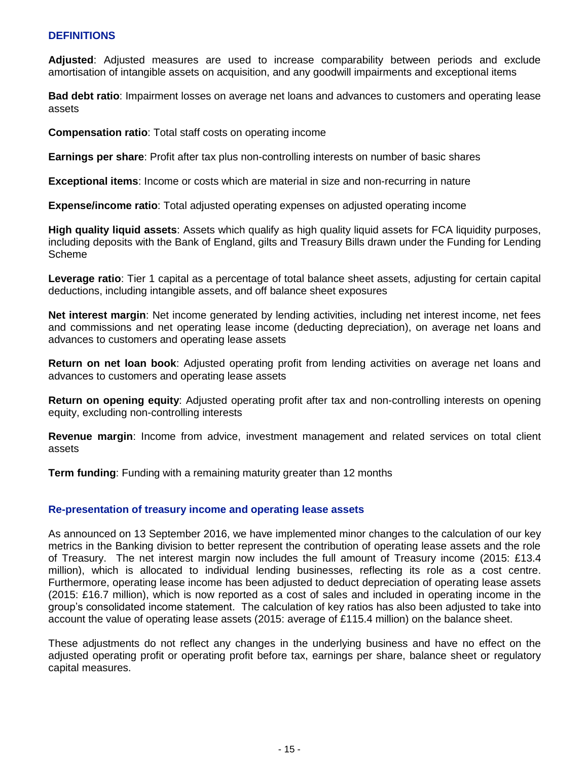### **DEFINITIONS**

**Adjusted**: Adjusted measures are used to increase comparability between periods and exclude amortisation of intangible assets on acquisition, and any goodwill impairments and exceptional items

**Bad debt ratio**: Impairment losses on average net loans and advances to customers and operating lease assets

**Compensation ratio**: Total staff costs on operating income

**Earnings per share**: Profit after tax plus non-controlling interests on number of basic shares

**Exceptional items**: Income or costs which are material in size and non-recurring in nature

**Expense/income ratio**: Total adjusted operating expenses on adjusted operating income

**High quality liquid assets**: Assets which qualify as high quality liquid assets for FCA liquidity purposes, including deposits with the Bank of England, gilts and Treasury Bills drawn under the Funding for Lending Scheme

**Leverage ratio**: Tier 1 capital as a percentage of total balance sheet assets, adjusting for certain capital deductions, including intangible assets, and off balance sheet exposures

**Net interest margin**: Net income generated by lending activities, including net interest income, net fees and commissions and net operating lease income (deducting depreciation), on average net loans and advances to customers and operating lease assets

**Return on net loan book**: Adjusted operating profit from lending activities on average net loans and advances to customers and operating lease assets

**Return on opening equity**: Adjusted operating profit after tax and non-controlling interests on opening equity, excluding non-controlling interests

**Revenue margin**: Income from advice, investment management and related services on total client assets

**Term funding**: Funding with a remaining maturity greater than 12 months

#### **Re-presentation of treasury income and operating lease assets**

As announced on 13 September 2016, we have implemented minor changes to the calculation of our key metrics in the Banking division to better represent the contribution of operating lease assets and the role of Treasury. The net interest margin now includes the full amount of Treasury income (2015: £13.4 million), which is allocated to individual lending businesses, reflecting its role as a cost centre. Furthermore, operating lease income has been adjusted to deduct depreciation of operating lease assets (2015: £16.7 million), which is now reported as a cost of sales and included in operating income in the group's consolidated income statement. The calculation of key ratios has also been adjusted to take into account the value of operating lease assets (2015: average of £115.4 million) on the balance sheet.

These adjustments do not reflect any changes in the underlying business and have no effect on the adjusted operating profit or operating profit before tax, earnings per share, balance sheet or regulatory capital measures.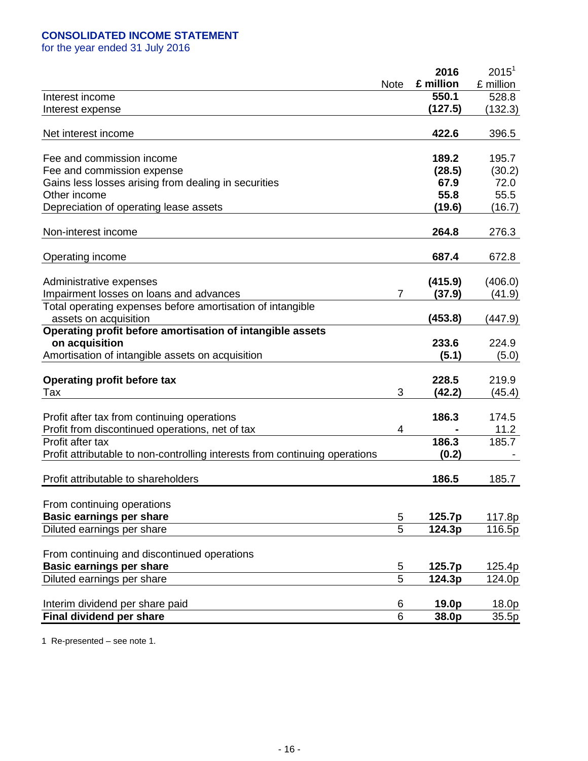## **CONSOLIDATED INCOME STATEMENT**

for the year ended 31 July 2016

|                                                                             |                | 2016      | $2015^1$  |
|-----------------------------------------------------------------------------|----------------|-----------|-----------|
|                                                                             | <b>Note</b>    | £ million | £ million |
| Interest income                                                             |                | 550.1     | 528.8     |
| Interest expense                                                            |                | (127.5)   | (132.3)   |
|                                                                             |                |           |           |
| Net interest income                                                         |                | 422.6     | 396.5     |
|                                                                             |                |           |           |
| Fee and commission income                                                   |                | 189.2     | 195.7     |
| Fee and commission expense                                                  |                | (28.5)    | (30.2)    |
| Gains less losses arising from dealing in securities                        |                | 67.9      | 72.0      |
| Other income                                                                |                | 55.8      | 55.5      |
| Depreciation of operating lease assets                                      |                | (19.6)    | (16.7)    |
|                                                                             |                |           |           |
| Non-interest income                                                         |                | 264.8     | 276.3     |
|                                                                             |                |           |           |
| Operating income                                                            |                | 687.4     | 672.8     |
|                                                                             |                |           |           |
| Administrative expenses                                                     |                | (415.9)   | (406.0)   |
| Impairment losses on loans and advances                                     | $\overline{7}$ | (37.9)    | (41.9)    |
| Total operating expenses before amortisation of intangible                  |                |           |           |
| assets on acquisition                                                       |                | (453.8)   | (447.9)   |
| Operating profit before amortisation of intangible assets                   |                |           |           |
| on acquisition                                                              |                | 233.6     | 224.9     |
| Amortisation of intangible assets on acquisition                            |                | (5.1)     | (5.0)     |
|                                                                             |                |           |           |
| <b>Operating profit before tax</b>                                          |                | 228.5     | 219.9     |
| Tax                                                                         | 3              | (42.2)    | (45.4)    |
|                                                                             |                | 186.3     | 174.5     |
| Profit after tax from continuing operations                                 |                |           | 11.2      |
| Profit from discontinued operations, net of tax<br>Profit after tax         | 4              | 186.3     | 185.7     |
|                                                                             |                | (0.2)     |           |
| Profit attributable to non-controlling interests from continuing operations |                |           |           |
| Profit attributable to shareholders                                         |                | 186.5     | 185.7     |
|                                                                             |                |           |           |
| From continuing operations                                                  |                |           |           |
| <b>Basic earnings per share</b>                                             | 5              | 125.7p    | 117.8p    |
| Diluted earnings per share                                                  | 5              | 124.3p    | 116.5p    |
|                                                                             |                |           |           |
| From continuing and discontinued operations                                 |                |           |           |
| <b>Basic earnings per share</b>                                             | 5              | 125.7p    | 125.4p    |
| Diluted earnings per share                                                  | $\overline{5}$ | 124.3p    | 124.0p    |
|                                                                             |                |           |           |
| Interim dividend per share paid                                             | 6              | 19.0p     | 18.0p     |
| Final dividend per share                                                    | 6              | 38.0p     | 35.5p     |

1 Re-presented – see note 1.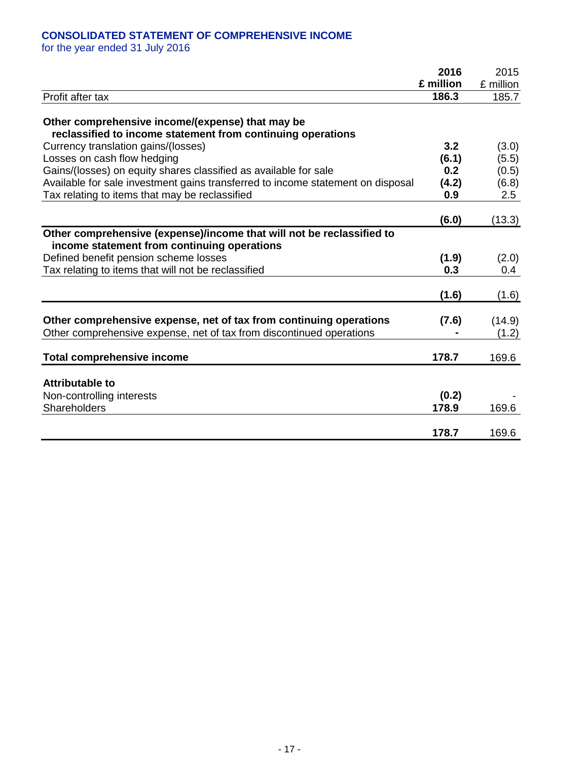## **CONSOLIDATED STATEMENT OF COMPREHENSIVE INCOME**

for the year ended 31 July 2016

|                                                                                                                                            | 2016           | 2015            |
|--------------------------------------------------------------------------------------------------------------------------------------------|----------------|-----------------|
|                                                                                                                                            | £ million      | £ million       |
| Profit after tax                                                                                                                           | 186.3          | 185.7           |
| Other comprehensive income/(expense) that may be<br>reclassified to income statement from continuing operations                            |                |                 |
| Currency translation gains/(losses)                                                                                                        | 3.2            | (3.0)           |
| Losses on cash flow hedging                                                                                                                | (6.1)          | (5.5)           |
| Gains/(losses) on equity shares classified as available for sale                                                                           | 0.2            | (0.5)           |
| Available for sale investment gains transferred to income statement on disposal                                                            | (4.2)          | (6.8)           |
| Tax relating to items that may be reclassified                                                                                             | 0.9            | 2.5             |
|                                                                                                                                            | (6.0)          | (13.3)          |
| Other comprehensive (expense)/income that will not be reclassified to<br>income statement from continuing operations                       |                |                 |
| Defined benefit pension scheme losses                                                                                                      | (1.9)          | (2.0)           |
| Tax relating to items that will not be reclassified                                                                                        | 0.3            | 0.4             |
|                                                                                                                                            | (1.6)          | (1.6)           |
| Other comprehensive expense, net of tax from continuing operations<br>Other comprehensive expense, net of tax from discontinued operations | (7.6)          | (14.9)<br>(1.2) |
| <b>Total comprehensive income</b>                                                                                                          | 178.7          | 169.6           |
| <b>Attributable to</b><br>Non-controlling interests<br>Shareholders                                                                        | (0.2)<br>178.9 | 169.6           |
|                                                                                                                                            | 178.7          | 169.6           |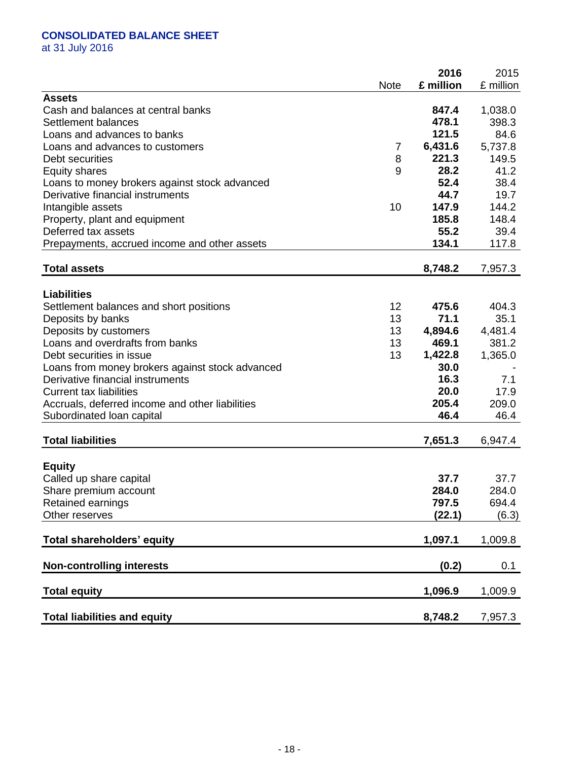## **CONSOLIDATED BALANCE SHEET**

at 31 July 2016

|                                                 | <b>Note</b> | 2016<br>£ million | 2015<br>£ million |
|-------------------------------------------------|-------------|-------------------|-------------------|
| <b>Assets</b>                                   |             |                   |                   |
| Cash and balances at central banks              |             | 847.4             | 1,038.0           |
| Settlement balances                             |             | 478.1             | 398.3             |
| Loans and advances to banks                     |             | 121.5             | 84.6              |
| Loans and advances to customers                 | 7           | 6,431.6           | 5,737.8           |
| Debt securities                                 | 8           | 221.3             | 149.5             |
| <b>Equity shares</b>                            | 9           | 28.2              | 41.2              |
| Loans to money brokers against stock advanced   |             | 52.4              | 38.4              |
| Derivative financial instruments                |             | 44.7              | 19.7              |
| Intangible assets                               | 10          | 147.9             | 144.2             |
| Property, plant and equipment                   |             | 185.8             | 148.4             |
| Deferred tax assets                             |             | 55.2              | 39.4              |
| Prepayments, accrued income and other assets    |             | 134.1             | 117.8             |
| <b>Total assets</b>                             |             | 8,748.2           | 7,957.3           |
|                                                 |             |                   |                   |
| <b>Liabilities</b>                              |             |                   |                   |
| Settlement balances and short positions         | 12          | 475.6             | 404.3             |
| Deposits by banks                               | 13          | 71.1              | 35.1              |
| Deposits by customers                           | 13          | 4,894.6           | 4,481.4           |
| Loans and overdrafts from banks                 | 13          | 469.1             | 381.2             |
| Debt securities in issue                        | 13          | 1,422.8           | 1,365.0           |
| Loans from money brokers against stock advanced |             | 30.0              |                   |
| Derivative financial instruments                |             | 16.3              | 7.1               |
| <b>Current tax liabilities</b>                  |             | 20.0              | 17.9              |
| Accruals, deferred income and other liabilities |             | 205.4             | 209.0             |
| Subordinated Ioan capital                       |             | 46.4              | 46.4              |
| <b>Total liabilities</b>                        |             | 7,651.3           | 6,947.4           |
|                                                 |             |                   |                   |
| <b>Equity</b>                                   |             |                   |                   |
| Called up share capital                         |             | 37.7              | 37.7              |
| Share premium account                           |             | 284.0             | 284.0             |
| Retained earnings                               |             | 797.5             | 694.4             |
| Other reserves                                  |             | (22.1)            | (6.3)             |
| <b>Total shareholders' equity</b>               |             | 1,097.1           | 1,009.8           |
| <b>Non-controlling interests</b>                |             | (0.2)             | 0.1               |
| <b>Total equity</b>                             |             | 1,096.9           | 1,009.9           |
|                                                 |             |                   |                   |
| <b>Total liabilities and equity</b>             |             | 8,748.2           | 7,957.3           |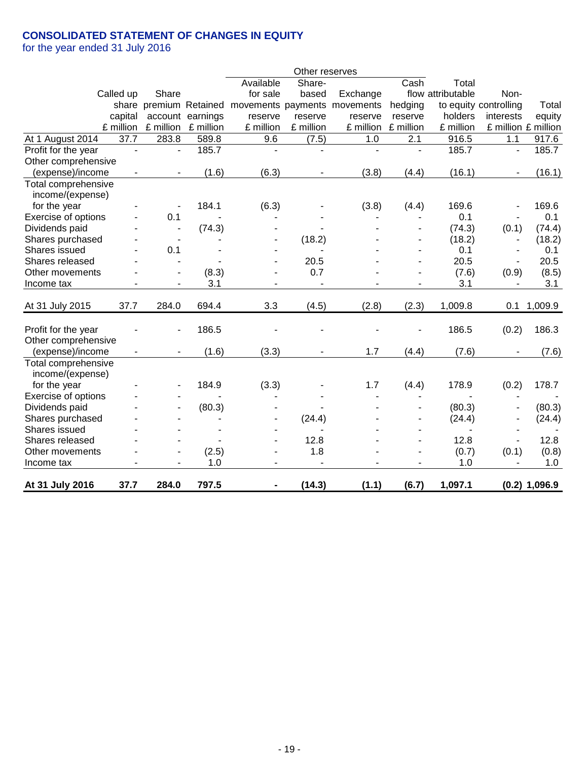## **CONSOLIDATED STATEMENT OF CHANGES IN EQUITY**

for the year ended 31 July 2016

|                     |                          |                          |                  |                                                     | Other reserves |                |                |                   |                          |                 |
|---------------------|--------------------------|--------------------------|------------------|-----------------------------------------------------|----------------|----------------|----------------|-------------------|--------------------------|-----------------|
|                     |                          |                          |                  | Available                                           | Share-         |                | Cash           | Total             |                          |                 |
| Called up           |                          | Share                    |                  | for sale                                            | based          | Exchange       |                | flow attributable | Non-                     |                 |
|                     |                          |                          |                  | share premium Retained movements payments movements |                |                | hedging        |                   | to equity controlling    | Total           |
|                     | capital                  |                          | account earnings | reserve                                             | reserve        | reserve        | reserve        | holders           | interests                | equity          |
|                     | £ million                | £ million                | £ million        | £ million                                           | £ million      | £ million      | £ million      | £ million         | £ million £ million      |                 |
| At 1 August 2014    | $\overline{37.7}$        | 283.8                    | 589.8            | 9.6                                                 | (7.5)          | 1.0            | 2.1            | 916.5             | 1.1                      | 917.6           |
| Profit for the year | $\overline{\phantom{a}}$ | $\overline{\phantom{a}}$ | 185.7            | $\blacksquare$                                      |                | $\blacksquare$ | $\blacksquare$ | 185.7             | $\overline{a}$           | 185.7           |
| Other comprehensive |                          |                          |                  |                                                     |                |                |                |                   |                          |                 |
| (expense)/income    |                          |                          | (1.6)            | (6.3)                                               |                | (3.8)          | (4.4)          | (16.1)            |                          | (16.1)          |
| Total comprehensive |                          |                          |                  |                                                     |                |                |                |                   |                          |                 |
| income/(expense)    |                          |                          |                  |                                                     |                |                |                |                   |                          |                 |
| for the year        |                          |                          | 184.1            | (6.3)                                               |                | (3.8)          | (4.4)          | 169.6             |                          | 169.6           |
| Exercise of options |                          | 0.1                      |                  |                                                     |                |                |                | 0.1               |                          | 0.1             |
| Dividends paid      |                          | $\overline{\phantom{a}}$ | (74.3)           |                                                     |                |                |                | (74.3)            | (0.1)                    | (74.4)          |
| Shares purchased    |                          | $\overline{\phantom{a}}$ |                  |                                                     | (18.2)         |                |                | (18.2)            | $\overline{\phantom{a}}$ | (18.2)          |
| Shares issued       |                          | 0.1                      |                  |                                                     |                |                |                | 0.1               | $\overline{\phantom{a}}$ | 0.1             |
| Shares released     |                          | $\overline{\phantom{a}}$ |                  |                                                     | 20.5           |                | ۰              | 20.5              | $\overline{\phantom{a}}$ | 20.5            |
| Other movements     |                          |                          | (8.3)            |                                                     | 0.7            |                |                | (7.6)             | (0.9)                    | (8.5)           |
| Income tax          |                          |                          | 3.1              |                                                     |                |                |                | 3.1               | $\blacksquare$           | 3.1             |
|                     | 37.7                     |                          |                  | 3.3                                                 |                |                |                |                   |                          |                 |
| At 31 July 2015     |                          | 284.0                    | 694.4            |                                                     | (4.5)          | (2.8)          | (2.3)          | 1,009.8           | 0.1                      | 1,009.9         |
| Profit for the year |                          |                          | 186.5            |                                                     |                |                |                | 186.5             | (0.2)                    | 186.3           |
| Other comprehensive |                          |                          |                  |                                                     |                |                |                |                   |                          |                 |
| (expense)/income    |                          |                          | (1.6)            | (3.3)                                               | $\blacksquare$ | 1.7            | (4.4)          | (7.6)             |                          | (7.6)           |
| Total comprehensive |                          |                          |                  |                                                     |                |                |                |                   |                          |                 |
| income/(expense)    |                          |                          |                  |                                                     |                |                |                |                   |                          |                 |
| for the year        |                          |                          | 184.9            | (3.3)                                               |                | 1.7            | (4.4)          | 178.9             | (0.2)                    | 178.7           |
| Exercise of options |                          |                          |                  |                                                     |                |                |                |                   |                          |                 |
| Dividends paid      |                          |                          | (80.3)           |                                                     |                |                |                | (80.3)            |                          | (80.3)          |
| Shares purchased    |                          |                          |                  |                                                     | (24.4)         |                |                | (24.4)            | $\overline{\phantom{a}}$ | (24.4)          |
| Shares issued       |                          |                          |                  |                                                     |                |                |                |                   | ٠                        |                 |
| Shares released     |                          |                          |                  |                                                     | 12.8           |                |                | 12.8              | $\overline{\phantom{a}}$ | 12.8            |
| Other movements     |                          |                          | (2.5)            | $\overline{\phantom{a}}$                            | 1.8            |                | ۰              | (0.7)             | (0.1)                    | (0.8)           |
| Income tax          |                          |                          | 1.0              |                                                     |                |                |                | 1.0               |                          | 1.0             |
|                     | 37.7                     | 284.0                    | 797.5            |                                                     | (14.3)         |                |                | 1,097.1           |                          | $(0.2)$ 1,096.9 |
| At 31 July 2016     |                          |                          |                  |                                                     |                | (1.1)          | (6.7)          |                   |                          |                 |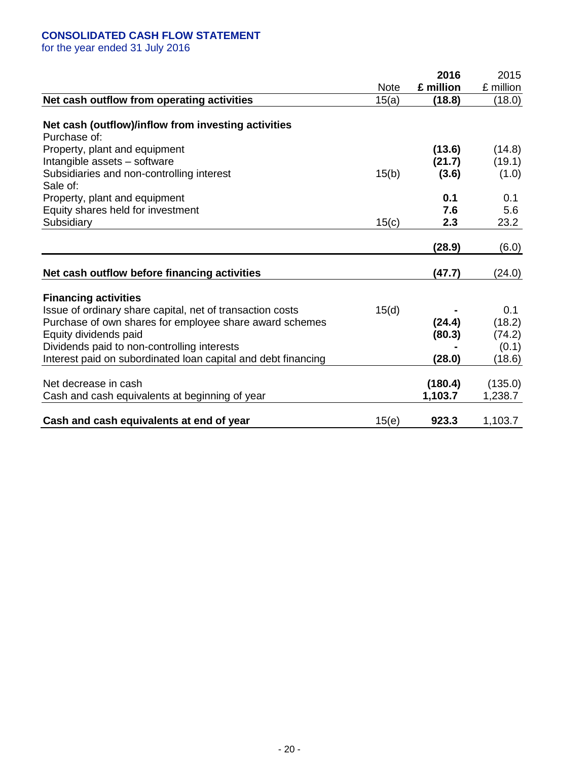## **CONSOLIDATED CASH FLOW STATEMENT**

for the year ended 31 July 2016

|                                                                     |             | 2016      | 2015      |
|---------------------------------------------------------------------|-------------|-----------|-----------|
|                                                                     | <b>Note</b> | £ million | £ million |
| Net cash outflow from operating activities                          | 15(a)       | (18.8)    | (18.0)    |
|                                                                     |             |           |           |
| Net cash (outflow)/inflow from investing activities<br>Purchase of: |             |           |           |
| Property, plant and equipment                                       |             | (13.6)    | (14.8)    |
| Intangible assets - software                                        |             | (21.7)    | (19.1)    |
| Subsidiaries and non-controlling interest                           | 15(b)       | (3.6)     | (1.0)     |
| Sale of:                                                            |             |           |           |
| Property, plant and equipment                                       |             | 0.1       | 0.1       |
| Equity shares held for investment                                   |             | 7.6       | 5.6       |
| Subsidiary                                                          | 15(c)       | 2.3       | 23.2      |
|                                                                     |             |           |           |
|                                                                     |             | (28.9)    | (6.0)     |
| Net cash outflow before financing activities                        |             | (47.7)    | (24.0)    |
|                                                                     |             |           |           |
| <b>Financing activities</b>                                         |             |           |           |
| Issue of ordinary share capital, net of transaction costs           | 15(d)       |           | 0.1       |
| Purchase of own shares for employee share award schemes             |             | (24.4)    | (18.2)    |
| Equity dividends paid                                               |             | (80.3)    | (74.2)    |
| Dividends paid to non-controlling interests                         |             |           | (0.1)     |
| Interest paid on subordinated loan capital and debt financing       |             | (28.0)    | (18.6)    |
|                                                                     |             |           |           |
| Net decrease in cash                                                |             | (180.4)   | (135.0)   |
| Cash and cash equivalents at beginning of year                      |             | 1,103.7   | 1,238.7   |
| Cash and cash equivalents at end of year                            | 15(e)       | 923.3     | 1,103.7   |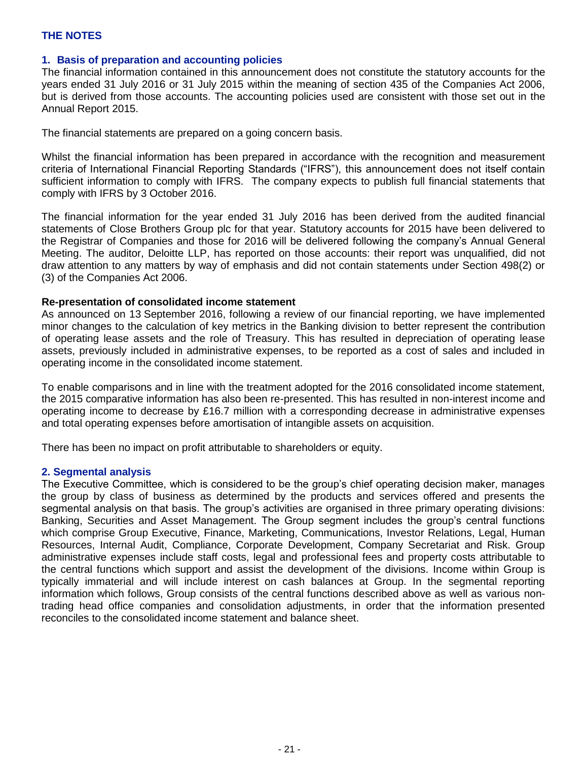### **1. Basis of preparation and accounting policies**

The financial information contained in this announcement does not constitute the statutory accounts for the years ended 31 July 2016 or 31 July 2015 within the meaning of section 435 of the Companies Act 2006, but is derived from those accounts. The accounting policies used are consistent with those set out in the Annual Report 2015.

The financial statements are prepared on a going concern basis.

Whilst the financial information has been prepared in accordance with the recognition and measurement criteria of International Financial Reporting Standards ("IFRS"), this announcement does not itself contain sufficient information to comply with IFRS. The company expects to publish full financial statements that comply with IFRS by 3 October 2016.

The financial information for the year ended 31 July 2016 has been derived from the audited financial statements of Close Brothers Group plc for that year. Statutory accounts for 2015 have been delivered to the Registrar of Companies and those for 2016 will be delivered following the company's Annual General Meeting. The auditor, Deloitte LLP, has reported on those accounts: their report was unqualified, did not draw attention to any matters by way of emphasis and did not contain statements under Section 498(2) or (3) of the Companies Act 2006.

#### **Re-presentation of consolidated income statement**

As announced on 13 September 2016, following a review of our financial reporting, we have implemented minor changes to the calculation of key metrics in the Banking division to better represent the contribution of operating lease assets and the role of Treasury. This has resulted in depreciation of operating lease assets, previously included in administrative expenses, to be reported as a cost of sales and included in operating income in the consolidated income statement.

To enable comparisons and in line with the treatment adopted for the 2016 consolidated income statement, the 2015 comparative information has also been re-presented. This has resulted in non-interest income and operating income to decrease by £16.7 million with a corresponding decrease in administrative expenses and total operating expenses before amortisation of intangible assets on acquisition.

There has been no impact on profit attributable to shareholders or equity.

#### **2. Segmental analysis**

The Executive Committee, which is considered to be the group's chief operating decision maker, manages the group by class of business as determined by the products and services offered and presents the segmental analysis on that basis. The group's activities are organised in three primary operating divisions: Banking, Securities and Asset Management. The Group segment includes the group's central functions which comprise Group Executive, Finance, Marketing, Communications, Investor Relations, Legal, Human Resources, Internal Audit, Compliance, Corporate Development, Company Secretariat and Risk. Group administrative expenses include staff costs, legal and professional fees and property costs attributable to the central functions which support and assist the development of the divisions. Income within Group is typically immaterial and will include interest on cash balances at Group. In the segmental reporting information which follows, Group consists of the central functions described above as well as various nontrading head office companies and consolidation adjustments, in order that the information presented reconciles to the consolidated income statement and balance sheet.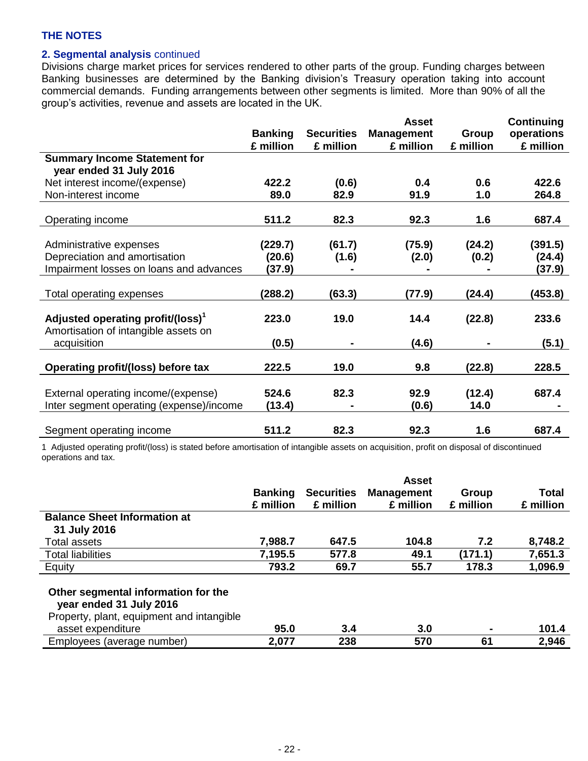## **2. Segmental analysis** continued

Divisions charge market prices for services rendered to other parts of the group. Funding charges between Banking businesses are determined by the Banking division's Treasury operation taking into account commercial demands. Funding arrangements between other segments is limited. More than 90% of all the group's activities, revenue and assets are located in the UK.

|                                               |                |                   | <b>Asset</b>      |           | Continuing |
|-----------------------------------------------|----------------|-------------------|-------------------|-----------|------------|
|                                               | <b>Banking</b> | <b>Securities</b> | <b>Management</b> | Group     | operations |
|                                               | £ million      | £ million         | £ million         | £ million | £ million  |
| <b>Summary Income Statement for</b>           |                |                   |                   |           |            |
| year ended 31 July 2016                       |                |                   |                   |           |            |
| Net interest income/(expense)                 | 422.2          | (0.6)             | 0.4               | 0.6       | 422.6      |
| Non-interest income                           | 89.0           | 82.9              | 91.9              | 1.0       | 264.8      |
|                                               |                |                   |                   |           |            |
| Operating income                              | 511.2          | 82.3              | 92.3              | 1.6       | 687.4      |
|                                               |                |                   |                   |           |            |
| Administrative expenses                       | (229.7)        | (61.7)            | (75.9)            | (24.2)    | (391.5)    |
| Depreciation and amortisation                 | (20.6)         | (1.6)             | (2.0)             | (0.2)     | (24.4)     |
| Impairment losses on loans and advances       | (37.9)         |                   |                   |           | (37.9)     |
|                                               |                |                   |                   |           |            |
| Total operating expenses                      | (288.2)        | (63.3)            | (77.9)            | (24.4)    | (453.8)    |
|                                               |                |                   |                   |           |            |
| Adjusted operating profit/(loss) <sup>1</sup> | 223.0          | 19.0              | 14.4              | (22.8)    | 233.6      |
| Amortisation of intangible assets on          |                |                   |                   |           |            |
| acquisition                                   | (0.5)          |                   | (4.6)             |           | (5.1)      |
|                                               | 222.5          | 19.0              | 9.8               |           | 228.5      |
| Operating profit/(loss) before tax            |                |                   |                   | (22.8)    |            |
| External operating income/(expense)           | 524.6          | 82.3              | 92.9              | (12.4)    | 687.4      |
| Inter segment operating (expense)/income      | (13.4)         |                   | (0.6)             | 14.0      |            |
|                                               |                |                   |                   |           |            |
| Segment operating income                      | 511.2          | 82.3              | 92.3              | 1.6       | 687.4      |

1 Adjusted operating profit/(loss) is stated before amortisation of intangible assets on acquisition, profit on disposal of discontinued operations and tax.

|                                                                                                                                  | <b>Banking</b><br>£ million | <b>Securities</b><br>£ million | <b>Asset</b><br><b>Management</b><br>£ million | Group<br>£ million | Total<br>£ million |
|----------------------------------------------------------------------------------------------------------------------------------|-----------------------------|--------------------------------|------------------------------------------------|--------------------|--------------------|
| <b>Balance Sheet Information at</b>                                                                                              |                             |                                |                                                |                    |                    |
| 31 July 2016                                                                                                                     |                             |                                |                                                |                    |                    |
| Total assets                                                                                                                     | 7,988.7                     | 647.5                          | 104.8                                          | 7.2                | 8,748.2            |
| <b>Total liabilities</b>                                                                                                         | 7,195.5                     | 577.8                          | 49.1                                           | (171.1)            | 7,651.3            |
| Equity                                                                                                                           | 793.2                       | 69.7                           | 55.7                                           | 178.3              | 1,096.9            |
| Other segmental information for the<br>year ended 31 July 2016<br>Property, plant, equipment and intangible<br>asset expenditure | 95.0                        | 3.4                            | 3.0                                            | $\blacksquare$     | 101.4              |
| Employees (average number)                                                                                                       | 2,077                       | 238                            | 570                                            | 61                 | 2.946              |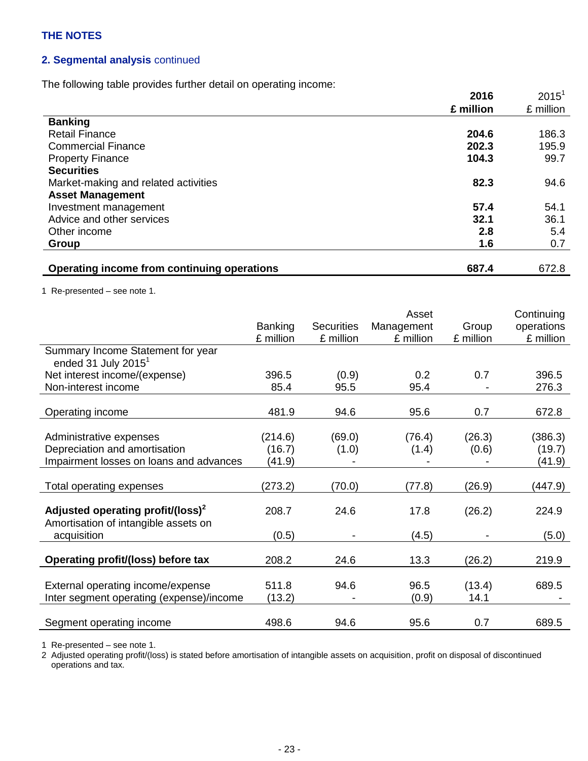## **2. Segmental analysis** continued

The following table provides further detail on operating income:

|                                             | 2016      | $2015^1$  |
|---------------------------------------------|-----------|-----------|
|                                             | £ million | £ million |
| <b>Banking</b>                              |           |           |
| <b>Retail Finance</b>                       | 204.6     | 186.3     |
| <b>Commercial Finance</b>                   | 202.3     | 195.9     |
| <b>Property Finance</b>                     | 104.3     | 99.7      |
| <b>Securities</b>                           |           |           |
| Market-making and related activities        | 82.3      | 94.6      |
| <b>Asset Management</b>                     |           |           |
| Investment management                       | 57.4      | 54.1      |
| Advice and other services                   | 32.1      | 36.1      |
| Other income                                | 2.8       | 5.4       |
| Group                                       | 1.6       | 0.7       |
|                                             |           |           |
| Operating income from continuing operations | 687.4     | 672.8     |

1 Re-presented – see note 1.

|                                                                                       |                   |                   | Asset           |                 | Continuing        |
|---------------------------------------------------------------------------------------|-------------------|-------------------|-----------------|-----------------|-------------------|
|                                                                                       | <b>Banking</b>    | <b>Securities</b> | Management      | Group           | operations        |
|                                                                                       | £ million         | £ million         | £ million       | £ million       | £ million         |
| Summary Income Statement for year<br>ended 31 July 2015 $^1$                          |                   |                   |                 |                 |                   |
| Net interest income/(expense)                                                         | 396.5             | (0.9)             | 0.2             | 0.7             | 396.5             |
| Non-interest income                                                                   | 85.4              | 95.5              | 95.4            |                 | 276.3             |
| Operating income                                                                      | 481.9             | 94.6              | 95.6            | 0.7             | 672.8             |
| Administrative expenses<br>Depreciation and amortisation                              | (214.6)<br>(16.7) | (69.0)<br>(1.0)   | (76.4)<br>(1.4) | (26.3)<br>(0.6) | (386.3)<br>(19.7) |
| Impairment losses on loans and advances                                               | (41.9)            |                   |                 |                 | (41.9)            |
|                                                                                       |                   |                   |                 |                 |                   |
| Total operating expenses                                                              | (273.2)           | (70.0)            | (77.8)          | (26.9)          | (447.9)           |
| Adjusted operating profit/(loss) <sup>2</sup><br>Amortisation of intangible assets on | 208.7             | 24.6              | 17.8            | (26.2)          | 224.9             |
| acquisition                                                                           | (0.5)             |                   | (4.5)           |                 | (5.0)             |
| Operating profit/(loss) before tax                                                    | 208.2             | 24.6              | 13.3            | (26.2)          | 219.9             |
| External operating income/expense<br>Inter segment operating (expense)/income         | 511.8<br>(13.2)   | 94.6              | 96.5<br>(0.9)   | (13.4)<br>14.1  | 689.5             |
| Segment operating income                                                              | 498.6             | 94.6              | 95.6            | 0.7             | 689.5             |

1 Re-presented – see note 1.

2 Adjusted operating profit/(loss) is stated before amortisation of intangible assets on acquisition, profit on disposal of discontinued operations and tax.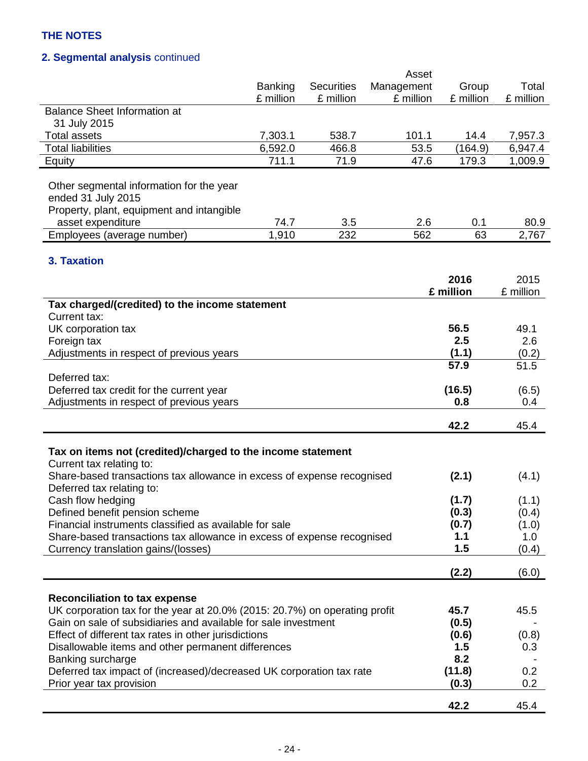## **2. Segmental analysis** continued

|                                                                                          |                |                   | Asset      |                |              |
|------------------------------------------------------------------------------------------|----------------|-------------------|------------|----------------|--------------|
|                                                                                          | <b>Banking</b> | <b>Securities</b> | Management | Group          | Total        |
|                                                                                          | £ million      | £ million         | £ million  | £ million      | £ million    |
| <b>Balance Sheet Information at</b>                                                      |                |                   |            |                |              |
| 31 July 2015                                                                             |                |                   |            |                |              |
| <b>Total assets</b>                                                                      | 7,303.1        | 538.7             | 101.1      | 14.4           | 7,957.3      |
| <b>Total liabilities</b>                                                                 | 6,592.0        | 466.8             | 53.5       | (164.9)        | 6,947.4      |
| Equity                                                                                   | 711.1          | 71.9              | 47.6       | 179.3          | 1,009.9      |
|                                                                                          |                |                   |            |                |              |
| Other segmental information for the year                                                 |                |                   |            |                |              |
| ended 31 July 2015                                                                       |                |                   |            |                |              |
| Property, plant, equipment and intangible                                                |                |                   |            |                |              |
| asset expenditure                                                                        | 74.7           | 3.5               | 2.6        | 0.1            | 80.9         |
| Employees (average number)                                                               | 1,910          | 232               | 562        | 63             | 2,767        |
|                                                                                          |                |                   |            |                |              |
| 3. Taxation                                                                              |                |                   |            |                |              |
|                                                                                          |                |                   |            | 2016           | 2015         |
|                                                                                          |                |                   |            | £ million      | £ million    |
| Tax charged/(credited) to the income statement                                           |                |                   |            |                |              |
| Current tax:                                                                             |                |                   |            |                |              |
| UK corporation tax                                                                       |                |                   |            | 56.5           | 49.1         |
| Foreign tax                                                                              |                |                   |            | 2.5            | 2.6          |
| Adjustments in respect of previous years                                                 |                |                   |            | (1.1)          | (0.2)        |
|                                                                                          |                |                   |            | 57.9           | 51.5         |
| Deferred tax:                                                                            |                |                   |            |                |              |
| Deferred tax credit for the current year                                                 |                |                   |            | (16.5)         | (6.5)        |
| Adjustments in respect of previous years                                                 |                |                   |            | 0.8            | 0.4          |
|                                                                                          |                |                   |            |                |              |
|                                                                                          |                |                   |            | 42.2           | 45.4         |
|                                                                                          |                |                   |            |                |              |
| Tax on items not (credited)/charged to the income statement                              |                |                   |            |                |              |
| Current tax relating to:                                                                 |                |                   |            |                |              |
| Share-based transactions tax allowance in excess of expense recognised                   |                |                   |            | (2.1)          | (4.1)        |
| Deferred tax relating to:                                                                |                |                   |            |                |              |
| Cash flow hedging                                                                        |                |                   |            | (1.7)<br>(0.3) | (1.1)        |
| Defined benefit pension scheme<br>Financial instruments classified as available for sale |                |                   |            | (0.7)          | (0.4)        |
| Share-based transactions tax allowance in excess of expense recognised                   |                |                   |            | 1.1            | (1.0)<br>1.0 |
| Currency translation gains/(losses)                                                      |                |                   |            | 1.5            | (0.4)        |
|                                                                                          |                |                   |            |                |              |
|                                                                                          |                |                   |            | (2.2)          | (6.0)        |
|                                                                                          |                |                   |            |                |              |
| <b>Reconciliation to tax expense</b>                                                     |                |                   |            |                |              |
| UK corporation tax for the year at 20.0% (2015: 20.7%) on operating profit               |                |                   |            | 45.7           | 45.5         |
| Gain on sale of subsidiaries and available for sale investment                           |                |                   |            | (0.5)          |              |
| Effect of different tax rates in other jurisdictions                                     |                |                   |            | (0.6)          | (0.8)        |
| Disallowable items and other permanent differences                                       |                |                   |            | 1.5            | 0.3          |
| Banking surcharge                                                                        |                |                   |            | 8.2            |              |
| Deferred tax impact of (increased)/decreased UK corporation tax rate                     |                |                   |            | (11.8)         | 0.2          |
| Prior year tax provision                                                                 |                |                   |            | (0.3)          | 0.2          |
|                                                                                          |                |                   |            |                |              |
|                                                                                          |                |                   |            | 42.2           | 45.4         |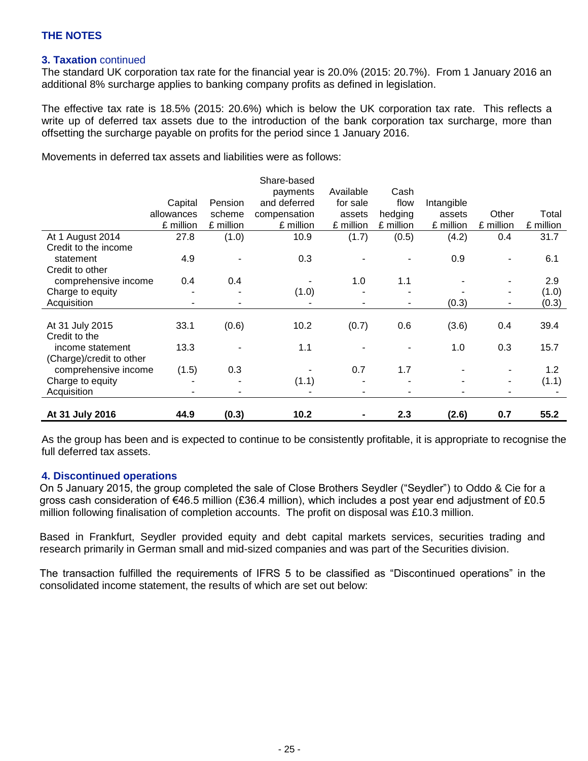## **3. Taxation** continued

The standard UK corporation tax rate for the financial year is 20.0% (2015: 20.7%). From 1 January 2016 an additional 8% surcharge applies to banking company profits as defined in legislation.

The effective tax rate is 18.5% (2015: 20.6%) which is below the UK corporation tax rate. This reflects a write up of deferred tax assets due to the introduction of the bank corporation tax surcharge, more than offsetting the surcharge payable on profits for the period since 1 January 2016.

Movements in deferred tax assets and liabilities were as follows:

|                          |                |           | Share-based  |           |           |            |                              |           |
|--------------------------|----------------|-----------|--------------|-----------|-----------|------------|------------------------------|-----------|
|                          |                |           | payments     | Available | Cash      |            |                              |           |
|                          | Capital        | Pension   | and deferred | for sale  | flow      | Intangible |                              |           |
|                          | allowances     | scheme    | compensation | assets    | hedging   | assets     | Other                        | Total     |
|                          | £ million      | £ million | £ million    | £ million | £ million | £ million  | £ million                    | £ million |
| At 1 August 2014         | 27.8           | (1.0)     | 10.9         | (1.7)     | (0.5)     | (4.2)      | 0.4                          | 31.7      |
| Credit to the income     |                |           |              |           |           |            |                              |           |
| statement                | 4.9            |           | 0.3          |           |           | 0.9        | $\qquad \qquad \blacksquare$ | 6.1       |
| Credit to other          |                |           |              |           |           |            |                              |           |
| comprehensive income     | 0.4            | 0.4       |              | 1.0       | 1.1       |            | $\blacksquare$               | 2.9       |
| Charge to equity         |                |           | (1.0)        |           |           |            | $\blacksquare$               | (1.0)     |
| Acquisition              | $\blacksquare$ |           |              |           | ۰         | (0.3)      | $\blacksquare$               | (0.3)     |
|                          |                |           |              |           |           |            |                              |           |
| At 31 July 2015          | 33.1           | (0.6)     | 10.2         | (0.7)     | 0.6       | (3.6)      | 0.4                          | 39.4      |
| Credit to the            |                |           |              |           |           |            |                              |           |
| income statement         | 13.3           |           | 1.1          |           |           | 1.0        | 0.3                          | 15.7      |
| (Charge)/credit to other |                |           |              |           |           |            |                              |           |
| comprehensive income     | (1.5)          | 0.3       |              | 0.7       | 1.7       |            |                              | 1.2       |
| Charge to equity         |                |           | (1.1)        |           |           |            | $\blacksquare$               | (1.1)     |
| Acquisition              |                | -         |              |           |           |            | $\blacksquare$               |           |
|                          |                |           |              |           |           |            |                              |           |
| At 31 July 2016          | 44.9           | (0.3)     | 10.2         |           | 2.3       | (2.6)      | 0.7                          | 55.2      |

As the group has been and is expected to continue to be consistently profitable, it is appropriate to recognise the full deferred tax assets.

#### **4. Discontinued operations**

On 5 January 2015, the group completed the sale of Close Brothers Seydler ("Seydler") to Oddo & Cie for a gross cash consideration of €46.5 million (£36.4 million), which includes a post year end adjustment of £0.5 million following finalisation of completion accounts. The profit on disposal was £10.3 million.

Based in Frankfurt, Seydler provided equity and debt capital markets services, securities trading and research primarily in German small and mid-sized companies and was part of the Securities division.

The transaction fulfilled the requirements of IFRS 5 to be classified as "Discontinued operations" in the consolidated income statement, the results of which are set out below: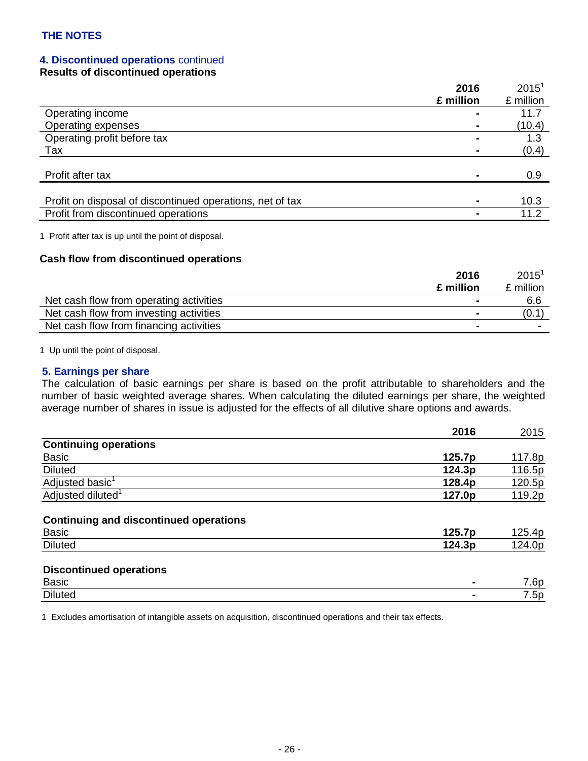## **4. Discontinued operations** continued

### **Results of discontinued operations**

|                                                           | 2016      | $2015^1$  |
|-----------------------------------------------------------|-----------|-----------|
|                                                           | £ million | £ million |
| Operating income                                          |           | 11.7      |
| Operating expenses                                        |           | (10.4)    |
| Operating profit before tax                               |           | 1.3       |
| Tax                                                       |           | (0.4)     |
|                                                           |           |           |
| Profit after tax                                          |           | 0.9       |
|                                                           |           |           |
| Profit on disposal of discontinued operations, net of tax |           | 10.3      |
| Profit from discontinued operations                       |           | 11.2      |

1 Profit after tax is up until the point of disposal.

### **Cash flow from discontinued operations**

|                                         | 2016           | $2015^{\circ}$ |
|-----------------------------------------|----------------|----------------|
|                                         | £ million      | £ million      |
| Net cash flow from operating activities | $\blacksquare$ | 6.6            |
| Net cash flow from investing activities |                | (0.1)          |
| Net cash flow from financing activities |                |                |

1 Up until the point of disposal.

#### **5. Earnings per share**

The calculation of basic earnings per share is based on the profit attributable to shareholders and the number of basic weighted average shares. When calculating the diluted earnings per share, the weighted average number of shares in issue is adjusted for the effects of all dilutive share options and awards.

|                                                               | 2016   | 2015   |
|---------------------------------------------------------------|--------|--------|
| <b>Continuing operations</b>                                  |        |        |
| Basic                                                         | 125.7p | 117.8p |
| <b>Diluted</b>                                                | 124.3p | 116.5p |
| Adjusted basic <sup>1</sup>                                   | 128.4p | 120.5p |
| Adjusted diluted <sup>1</sup>                                 | 127.0p | 119.2p |
| <b>Continuing and discontinued operations</b><br><b>Basic</b> | 125.7p | 125.4p |
| <b>Diluted</b>                                                | 124.3p | 124.0p |
| <b>Discontinued operations</b>                                |        |        |
| <b>Basic</b>                                                  |        | 7.6p   |
| <b>Diluted</b>                                                |        | 7.5p   |

1 Excludes amortisation of intangible assets on acquisition, discontinued operations and their tax effects.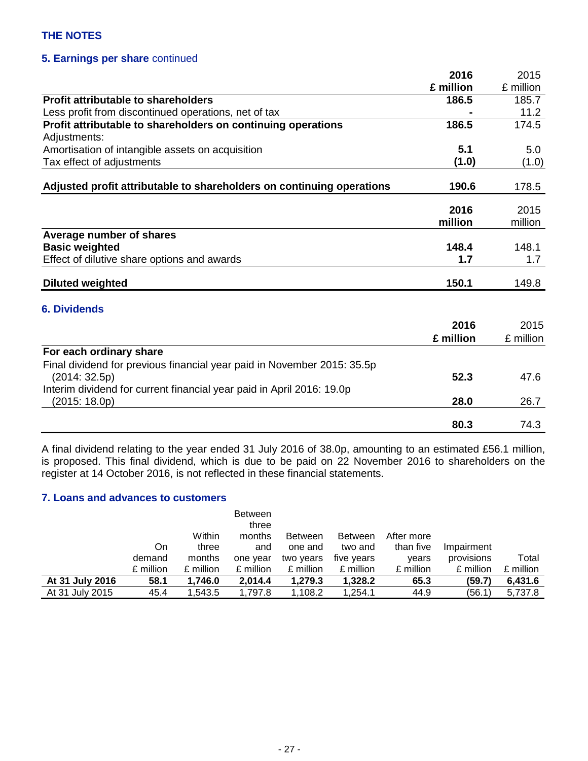## **5. Earnings per share** continued

|                                                                         | 2016      | 2015      |
|-------------------------------------------------------------------------|-----------|-----------|
|                                                                         | £ million | £ million |
| <b>Profit attributable to shareholders</b>                              | 186.5     | 185.7     |
| Less profit from discontinued operations, net of tax                    |           | 11.2      |
| Profit attributable to shareholders on continuing operations            | 186.5     | 174.5     |
| Adjustments:                                                            |           |           |
| Amortisation of intangible assets on acquisition                        | 5.1       | 5.0       |
| Tax effect of adjustments                                               | (1.0)     | (1.0)     |
|                                                                         |           |           |
| Adjusted profit attributable to shareholders on continuing operations   | 190.6     | 178.5     |
|                                                                         | 2016      | 2015      |
|                                                                         | million   | million   |
|                                                                         |           |           |
| Average number of shares                                                |           |           |
| <b>Basic weighted</b>                                                   | 148.4     | 148.1     |
| Effect of dilutive share options and awards                             | 1.7       | 1.7       |
| <b>Diluted weighted</b>                                                 | 150.1     | 149.8     |
|                                                                         |           |           |
| <b>6. Dividends</b>                                                     |           |           |
|                                                                         | 2016      | 2015      |
|                                                                         | £ million | £ million |
| For each ordinary share                                                 |           |           |
| Final dividend for previous financial year paid in November 2015: 35.5p |           |           |
| (2014:32.5p)                                                            | 52.3      | 47.6      |
| Interim dividend for current financial year paid in April 2016: 19.0p   |           |           |
| (2015: 18.0p)                                                           | 28.0      | 26.7      |
|                                                                         |           |           |
|                                                                         | 80.3      | 74.3      |

A final dividend relating to the year ended 31 July 2016 of 38.0p, amounting to an estimated £56.1 million, is proposed. This final dividend, which is due to be paid on 22 November 2016 to shareholders on the register at 14 October 2016, is not reflected in these financial statements.

### **7. Loans and advances to customers**

|                 |           |           | <b>Between</b><br>three |                |                |            |            |           |
|-----------------|-----------|-----------|-------------------------|----------------|----------------|------------|------------|-----------|
|                 |           | Within    | months                  | <b>Between</b> | <b>Between</b> | After more |            |           |
|                 | On        | three     | and                     | one and        | two and        | than five  | Impairment |           |
|                 | demand    | months    | one year                | two years      | five years     | years      | provisions | Total     |
|                 | £ million | £ million | £ million               | £ million      | £ million      | £ million  | £ million  | £ million |
| At 31 July 2016 | 58.1      | 1,746.0   | 2,014.4                 | 1,279.3        | 1,328.2        | 65.3       | (59.7)     | 6,431.6   |
| At 31 July 2015 | 45.4      | 1.543.5   | 1.797.8                 | .108.2         | 1.254.1        | 44.9       | (56.1)     | 5,737.8   |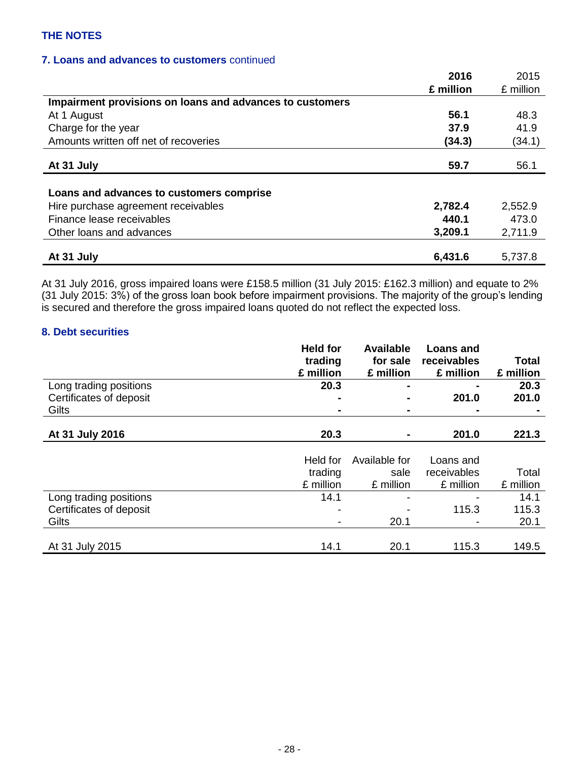### **7. Loans and advances to customers** continued

|                                                          | 2016      | 2015      |
|----------------------------------------------------------|-----------|-----------|
|                                                          | £ million | £ million |
| Impairment provisions on loans and advances to customers |           |           |
| At 1 August                                              | 56.1      | 48.3      |
| Charge for the year                                      | 37.9      | 41.9      |
| Amounts written off net of recoveries                    | (34.3)    | (34.1)    |
| At 31 July                                               | 59.7      | 56.1      |
|                                                          |           |           |
| Loans and advances to customers comprise                 |           |           |
| Hire purchase agreement receivables                      | 2,782.4   | 2,552.9   |
| Finance lease receivables                                | 440.1     | 473.0     |
| Other loans and advances                                 | 3,209.1   | 2,711.9   |
|                                                          |           |           |
| At 31 July                                               | 6,431.6   | 5,737.8   |

At 31 July 2016, gross impaired loans were £158.5 million (31 July 2015: £162.3 million) and equate to 2% (31 July 2015: 3%) of the gross loan book before impairment provisions. The majority of the group's lending is secured and therefore the gross impaired loans quoted do not reflect the expected loss.

#### **8. Debt securities**

|                         | <b>Held for</b> | <b>Available</b> | <b>Loans and</b> |              |
|-------------------------|-----------------|------------------|------------------|--------------|
|                         | trading         | for sale         | receivables      | <b>Total</b> |
|                         | £ million       | £ million        | £ million        | £ million    |
| Long trading positions  | 20.3            | $\blacksquare$   |                  | 20.3         |
| Certificates of deposit |                 |                  | 201.0            | 201.0        |
| Gilts                   |                 | ۰                |                  |              |
|                         |                 |                  |                  |              |
| At 31 July 2016         | 20.3            |                  | 201.0            | 221.3        |
|                         |                 |                  |                  |              |
|                         | Held for        | Available for    | Loans and        |              |
|                         | trading         | sale             | receivables      | Total        |
|                         | £ million       | £ million        | £ million        | £ million    |
| Long trading positions  | 14.1            | -                |                  | 14.1         |
| Certificates of deposit |                 |                  | 115.3            | 115.3        |
| Gilts                   |                 | 20.1             |                  | 20.1         |
|                         |                 |                  |                  |              |
| At 31 July 2015         | 14.1            | 20.1             | 115.3            | 149.5        |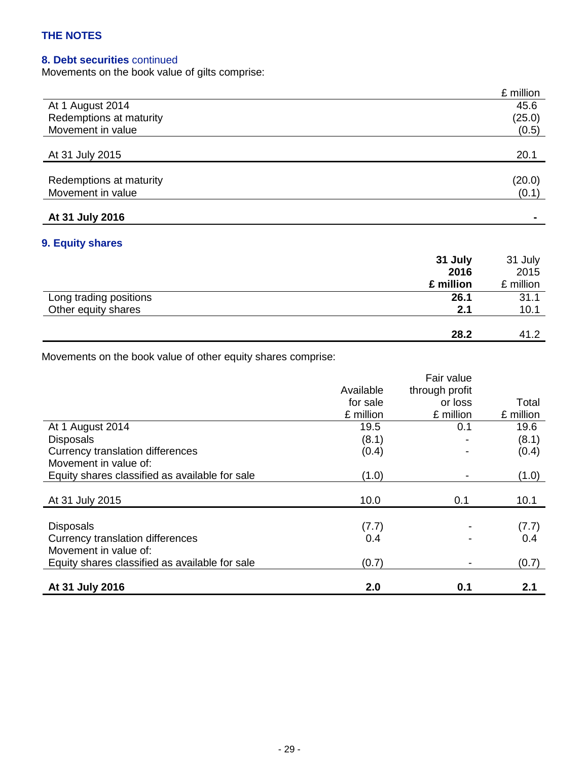## **8. Debt securities** continued

Movements on the book value of gilts comprise:

|                         | £ million |
|-------------------------|-----------|
| At 1 August 2014        | 45.6      |
| Redemptions at maturity | (25.0)    |
| Movement in value       | (0.5)     |
|                         |           |
| At 31 July 2015         | 20.1      |
|                         |           |
| Redemptions at maturity | (20.0)    |
| Movement in value       | (0.1)     |
|                         |           |
| At 31 July 2016         |           |

## **9. Equity shares**

|                        | 31 July<br>2016 | 31 July<br>2015 |
|------------------------|-----------------|-----------------|
|                        | £ million       | £ million       |
| Long trading positions | 26.1            | 31.1            |
| Other equity shares    | 2.1             | 10.1            |
|                        | 28.2            | 41.2            |

Movements on the book value of other equity shares comprise:

|                                                |           | Fair value     |           |
|------------------------------------------------|-----------|----------------|-----------|
|                                                | Available | through profit |           |
|                                                | for sale  | or loss        | Total     |
|                                                | £ million | £ million      | £ million |
| At 1 August 2014                               | 19.5      | 0.1            | 19.6      |
| <b>Disposals</b>                               | (8.1)     |                | (8.1)     |
| Currency translation differences               | (0.4)     |                | (0.4)     |
| Movement in value of:                          |           |                |           |
| Equity shares classified as available for sale | (1.0)     |                | (1.0)     |
|                                                |           |                |           |
| At 31 July 2015                                | 10.0      | 0.1            | 10.1      |
|                                                |           |                |           |
| <b>Disposals</b>                               | (7.7)     |                | (7.7)     |
| Currency translation differences               | 0.4       |                | 0.4       |
| Movement in value of:                          |           |                |           |
| Equity shares classified as available for sale | (0.7)     |                | (0.7)     |
|                                                |           |                |           |
| At 31 July 2016                                | 2.0       | 0.1            | 2.1       |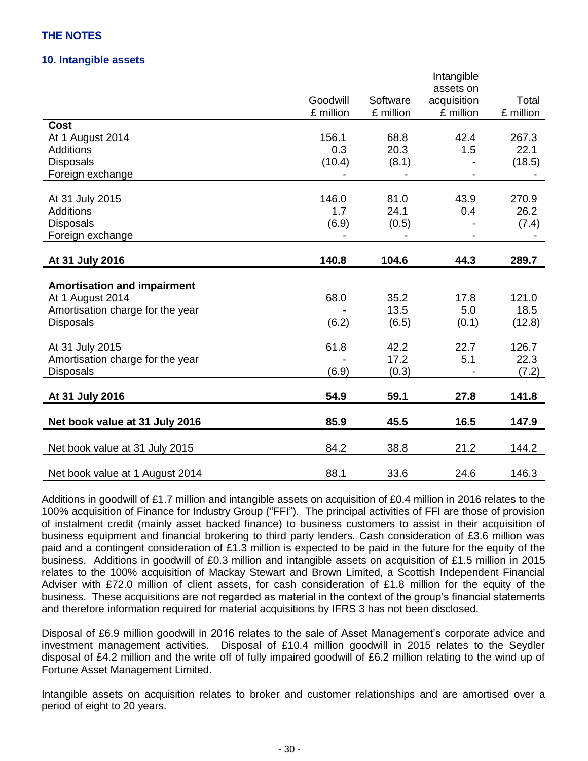### **10. Intangible assets**

|                                    |           |           | Intangible  |           |
|------------------------------------|-----------|-----------|-------------|-----------|
|                                    |           |           | assets on   |           |
|                                    | Goodwill  | Software  | acquisition | Total     |
|                                    | £ million | £ million | £ million   | £ million |
| <b>Cost</b>                        |           |           |             |           |
| At 1 August 2014                   | 156.1     | 68.8      | 42.4        | 267.3     |
| <b>Additions</b>                   | 0.3       | 20.3      | 1.5         | 22.1      |
| <b>Disposals</b>                   | (10.4)    | (8.1)     |             | (18.5)    |
| Foreign exchange                   |           |           |             |           |
|                                    |           |           |             |           |
| At 31 July 2015                    | 146.0     | 81.0      | 43.9        | 270.9     |
| <b>Additions</b>                   | 1.7       | 24.1      | 0.4         | 26.2      |
| <b>Disposals</b>                   | (6.9)     | (0.5)     |             | (7.4)     |
| Foreign exchange                   |           |           |             |           |
|                                    |           |           |             |           |
| At 31 July 2016                    | 140.8     | 104.6     | 44.3        | 289.7     |
| <b>Amortisation and impairment</b> |           |           |             |           |
| At 1 August 2014                   | 68.0      | 35.2      | 17.8        | 121.0     |
| Amortisation charge for the year   |           | 13.5      | 5.0         | 18.5      |
| <b>Disposals</b>                   | (6.2)     | (6.5)     | (0.1)       | (12.8)    |
|                                    |           |           |             |           |
| At 31 July 2015                    | 61.8      | 42.2      | 22.7        | 126.7     |
| Amortisation charge for the year   |           | 17.2      | 5.1         | 22.3      |
| <b>Disposals</b>                   | (6.9)     | (0.3)     |             | (7.2)     |
|                                    |           |           |             |           |
| At 31 July 2016                    | 54.9      | 59.1      | 27.8        | 141.8     |
|                                    |           |           |             |           |
| Net book value at 31 July 2016     | 85.9      | 45.5      | 16.5        | 147.9     |
|                                    | 84.2      | 38.8      | 21.2        | 144.2     |
| Net book value at 31 July 2015     |           |           |             |           |
| Net book value at 1 August 2014    | 88.1      | 33.6      | 24.6        | 146.3     |

Additions in goodwill of £1.7 million and intangible assets on acquisition of £0.4 million in 2016 relates to the 100% acquisition of Finance for Industry Group ("FFI"). The principal activities of FFI are those of provision of instalment credit (mainly asset backed finance) to business customers to assist in their acquisition of business equipment and financial brokering to third party lenders. Cash consideration of £3.6 million was paid and a contingent consideration of £1.3 million is expected to be paid in the future for the equity of the business. Additions in goodwill of £0.3 million and intangible assets on acquisition of £1.5 million in 2015 relates to the 100% acquisition of Mackay Stewart and Brown Limited, a Scottish Independent Financial Adviser with £72.0 million of client assets, for cash consideration of £1.8 million for the equity of the business. These acquisitions are not regarded as material in the context of the group's financial statements and therefore information required for material acquisitions by IFRS 3 has not been disclosed.

Disposal of £6.9 million goodwill in 2016 relates to the sale of Asset Management's corporate advice and investment management activities. Disposal of £10.4 million goodwill in 2015 relates to the Seydler disposal of £4.2 million and the write off of fully impaired goodwill of £6.2 million relating to the wind up of Fortune Asset Management Limited.

Intangible assets on acquisition relates to broker and customer relationships and are amortised over a period of eight to 20 years.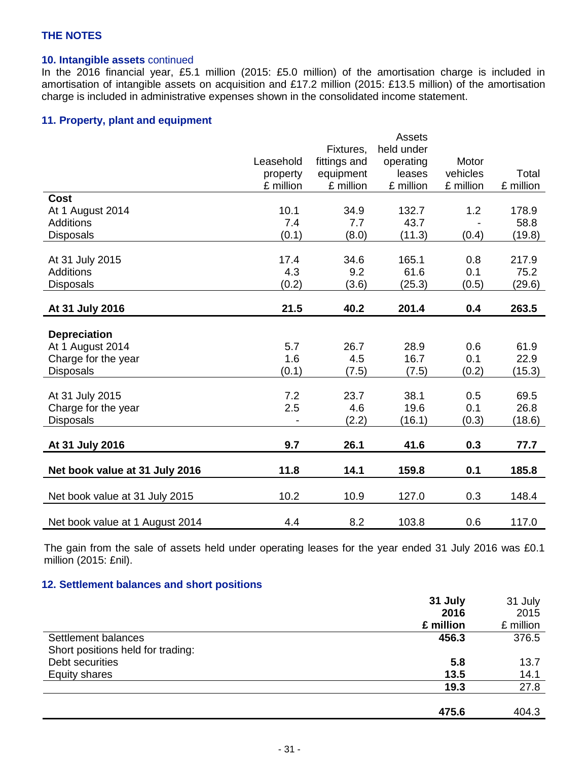## **10. Intangible assets** continued

In the 2016 financial year, £5.1 million (2015: £5.0 million) of the amortisation charge is included in amortisation of intangible assets on acquisition and £17.2 million (2015: £13.5 million) of the amortisation charge is included in administrative expenses shown in the consolidated income statement.

#### **11. Property, plant and equipment**

|                                 |           |              | Assets     |           |           |
|---------------------------------|-----------|--------------|------------|-----------|-----------|
|                                 |           | Fixtures,    | held under |           |           |
|                                 | Leasehold | fittings and | operating  | Motor     |           |
|                                 | property  | equipment    | leases     | vehicles  | Total     |
|                                 | £ million | £ million    | £ million  | £ million | £ million |
| <b>Cost</b>                     |           |              |            |           |           |
| At 1 August 2014                | 10.1      | 34.9         | 132.7      | 1.2       | 178.9     |
| <b>Additions</b>                | 7.4       | 7.7          | 43.7       |           | 58.8      |
| <b>Disposals</b>                | (0.1)     | (8.0)        | (11.3)     | (0.4)     | (19.8)    |
|                                 |           |              |            |           |           |
| At 31 July 2015                 | 17.4      | 34.6         | 165.1      | 0.8       | 217.9     |
| Additions                       | 4.3       | 9.2          | 61.6       | 0.1       | 75.2      |
| <b>Disposals</b>                | (0.2)     | (3.6)        | (25.3)     | (0.5)     | (29.6)    |
|                                 |           |              |            |           |           |
| At 31 July 2016                 | 21.5      | 40.2         | 201.4      | 0.4       | 263.5     |
|                                 |           |              |            |           |           |
| <b>Depreciation</b>             |           |              |            |           |           |
| At 1 August 2014                | 5.7       | 26.7         | 28.9       | 0.6       | 61.9      |
| Charge for the year             | 1.6       | 4.5          | 16.7       | 0.1       | 22.9      |
| Disposals                       | (0.1)     | (7.5)        | (7.5)      | (0.2)     | (15.3)    |
|                                 |           |              |            |           |           |
| At 31 July 2015                 | 7.2       | 23.7         | 38.1       | 0.5       | 69.5      |
| Charge for the year             | 2.5       | 4.6          | 19.6       | 0.1       | 26.8      |
| <b>Disposals</b>                |           | (2.2)        | (16.1)     | (0.3)     | (18.6)    |
|                                 |           |              |            |           |           |
| At 31 July 2016                 | 9.7       | 26.1         | 41.6       | 0.3       | 77.7      |
| Net book value at 31 July 2016  | 11.8      | 14.1         | 159.8      | 0.1       | 185.8     |
| Net book value at 31 July 2015  | 10.2      | 10.9         | 127.0      | 0.3       | 148.4     |
| Net book value at 1 August 2014 | 4.4       | 8.2          | 103.8      | 0.6       | 117.0     |

The gain from the sale of assets held under operating leases for the year ended 31 July 2016 was £0.1 million (2015: £nil).

## **12. Settlement balances and short positions**

|                                   | 31 July   | 31 July   |
|-----------------------------------|-----------|-----------|
|                                   | 2016      | 2015      |
|                                   | £ million | £ million |
| Settlement balances               | 456.3     | 376.5     |
| Short positions held for trading: |           |           |
| Debt securities                   | 5.8       | 13.7      |
| <b>Equity shares</b>              | 13.5      | 14.1      |
|                                   | 19.3      | 27.8      |
|                                   |           |           |
|                                   | 475.6     | 404.3     |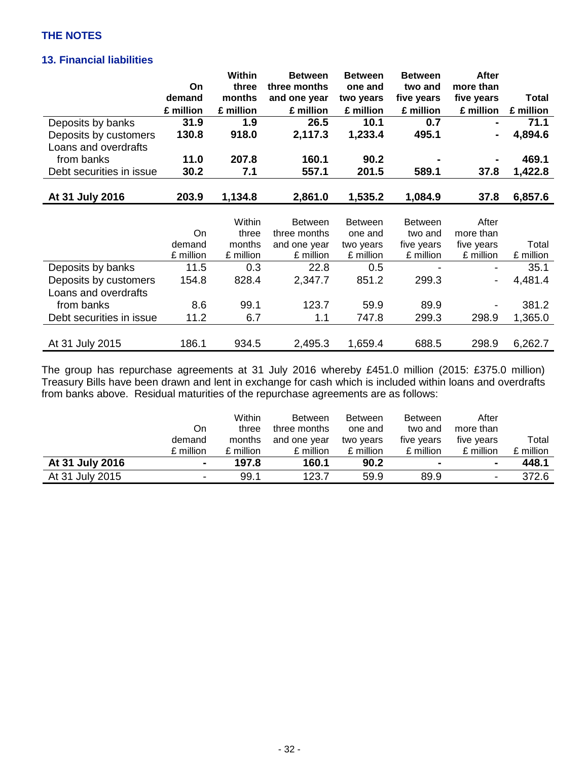## **13. Financial liabilities**

|                          |           | Within    | <b>Between</b> | <b>Between</b> | <b>Between</b> | <b>After</b>   |              |
|--------------------------|-----------|-----------|----------------|----------------|----------------|----------------|--------------|
|                          | On        | three     | three months   | one and        | two and        | more than      |              |
|                          | demand    | months    | and one year   | two years      | five years     | five years     | <b>Total</b> |
|                          | £ million | £ million | £ million      | £ million      | £ million      | £ million      | £ million    |
| Deposits by banks        | 31.9      | 1.9       | 26.5           | 10.1           | 0.7            | $\blacksquare$ | 71.1         |
| Deposits by customers    | 130.8     | 918.0     | 2,117.3        | 1,233.4        | 495.1          |                | 4,894.6      |
| Loans and overdrafts     |           |           |                |                |                |                |              |
| from banks               | 11.0      | 207.8     | 160.1          | 90.2           |                |                | 469.1        |
| Debt securities in issue | 30.2      | 7.1       | 557.1          | 201.5          | 589.1          | 37.8           | 1,422.8      |
|                          |           |           |                |                |                |                |              |
| At 31 July 2016          | 203.9     | 1,134.8   | 2,861.0        | 1,535.2        | 1,084.9        | 37.8           | 6,857.6      |
|                          |           |           |                |                |                |                |              |
|                          |           | Within    | <b>Between</b> | <b>Between</b> | <b>Between</b> | After          |              |
|                          | On        | three     | three months   | one and        | two and        | more than      |              |
|                          | demand    | months    | and one year   | two years      | five years     | five years     | Total        |
|                          | £ million | £ million | £ million      | £ million      | £ million      | £ million      | £ million    |
| Deposits by banks        | 11.5      | 0.3       | 22.8           | 0.5            |                | -              | 35.1         |
| Deposits by customers    | 154.8     | 828.4     | 2,347.7        | 851.2          | 299.3          |                | 4,481.4      |
| Loans and overdrafts     |           |           |                |                |                |                |              |
| from banks               | 8.6       | 99.1      | 123.7          | 59.9           | 89.9           |                | 381.2        |
| Debt securities in issue | 11.2      | 6.7       | 1.1            | 747.8          | 299.3          | 298.9          | 1,365.0      |
|                          |           |           |                |                |                |                |              |
| At 31 July 2015          | 186.1     | 934.5     | 2,495.3        | 1,659.4        | 688.5          | 298.9          | 6,262.7      |

The group has repurchase agreements at 31 July 2016 whereby £451.0 million (2015: £375.0 million) Treasury Bills have been drawn and lent in exchange for cash which is included within loans and overdrafts from banks above. Residual maturities of the repurchase agreements are as follows:

|                 |           | Within    | <b>Between</b> | <b>Between</b> | <b>Between</b>           | After      |           |
|-----------------|-----------|-----------|----------------|----------------|--------------------------|------------|-----------|
|                 | On        | three     | three months   | one and        | two and                  | more than  |           |
|                 | demand    | months    | and one year   | two years      | five years               | five years | Total     |
|                 | £ million | £ million | £ million      | £ million      | £ million                | £ million  | £ million |
| At 31 July 2016 | ۰.        | 197.8     | 160.1          | 90.2           | $\overline{\phantom{a}}$ | ۰          | 448.1     |
| At 31 July 2015 | -         | 99.1      | 123.7          | 59.9           | 89.9                     | ۰          | 372.6     |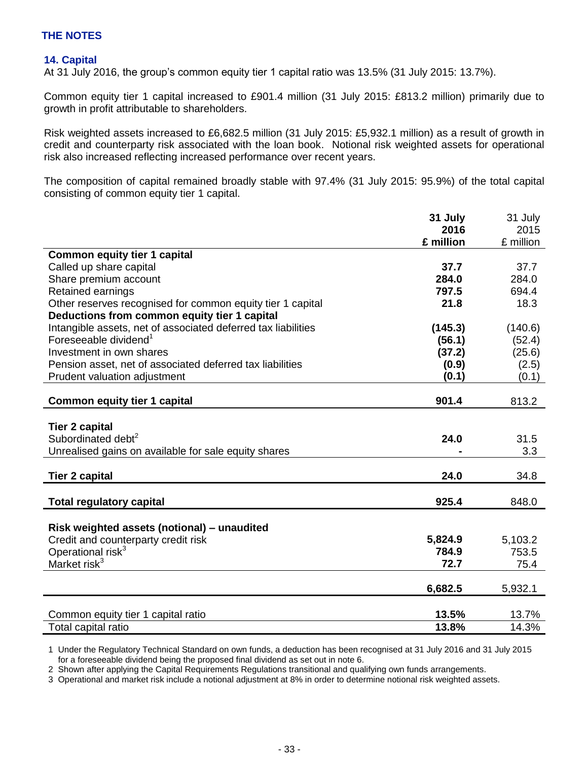## **14. Capital**

At 31 July 2016, the group's common equity tier 1 capital ratio was 13.5% (31 July 2015: 13.7%).

Common equity tier 1 capital increased to £901.4 million (31 July 2015: £813.2 million) primarily due to growth in profit attributable to shareholders.

Risk weighted assets increased to £6,682.5 million (31 July 2015: £5,932.1 million) as a result of growth in credit and counterparty risk associated with the loan book. Notional risk weighted assets for operational risk also increased reflecting increased performance over recent years.

The composition of capital remained broadly stable with 97.4% (31 July 2015: 95.9%) of the total capital consisting of common equity tier 1 capital.

|                                                               | 31 July   | 31 July   |
|---------------------------------------------------------------|-----------|-----------|
|                                                               | 2016      | 2015      |
|                                                               | £ million | £ million |
| <b>Common equity tier 1 capital</b>                           |           |           |
| Called up share capital                                       | 37.7      | 37.7      |
| Share premium account                                         | 284.0     | 284.0     |
| <b>Retained earnings</b>                                      | 797.5     | 694.4     |
| Other reserves recognised for common equity tier 1 capital    | 21.8      | 18.3      |
| Deductions from common equity tier 1 capital                  |           |           |
| Intangible assets, net of associated deferred tax liabilities | (145.3)   | (140.6)   |
| Foreseeable dividend <sup>1</sup>                             | (56.1)    | (52.4)    |
| Investment in own shares                                      | (37.2)    | (25.6)    |
| Pension asset, net of associated deferred tax liabilities     | (0.9)     | (2.5)     |
| Prudent valuation adjustment                                  | (0.1)     | (0.1)     |
|                                                               |           |           |
| <b>Common equity tier 1 capital</b>                           | 901.4     | 813.2     |
|                                                               |           |           |
| <b>Tier 2 capital</b>                                         |           |           |
| Subordinated debt <sup>2</sup>                                | 24.0      | 31.5      |
| Unrealised gains on available for sale equity shares          |           | 3.3       |
|                                                               |           |           |
| <b>Tier 2 capital</b>                                         | 24.0      | 34.8      |
|                                                               | 925.4     |           |
| <b>Total regulatory capital</b>                               |           | 848.0     |
| Risk weighted assets (notional) - unaudited                   |           |           |
| Credit and counterparty credit risk                           | 5,824.9   | 5,103.2   |
| Operational risk <sup>3</sup>                                 | 784.9     | 753.5     |
| Market risk $3$                                               | 72.7      | 75.4      |
|                                                               |           |           |
|                                                               | 6,682.5   | 5,932.1   |
|                                                               |           |           |
| Common equity tier 1 capital ratio                            | 13.5%     | 13.7%     |
| Total capital ratio                                           | 13.8%     | 14.3%     |

1 Under the Regulatory Technical Standard on own funds, a deduction has been recognised at 31 July 2016 and 31 July 2015 for a foreseeable dividend being the proposed final dividend as set out in note 6.

2 Shown after applying the Capital Requirements Regulations transitional and qualifying own funds arrangements.

3 Operational and market risk include a notional adjustment at 8% in order to determine notional risk weighted assets.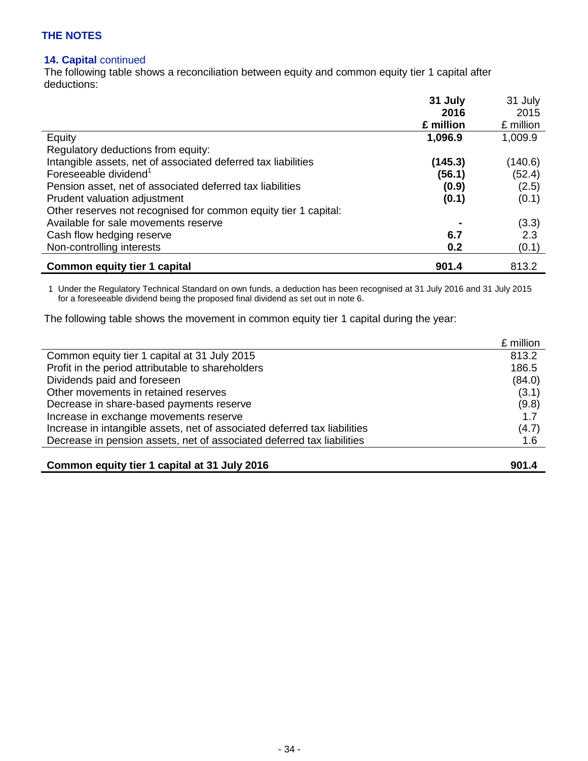### **14. Capital** continued

The following table shows a reconciliation between equity and common equity tier 1 capital after deductions:

|                                                                 | 31 July   | 31 July   |
|-----------------------------------------------------------------|-----------|-----------|
|                                                                 | 2016      | 2015      |
|                                                                 | £ million | £ million |
| Equity                                                          | 1,096.9   | 1,009.9   |
| Regulatory deductions from equity:                              |           |           |
| Intangible assets, net of associated deferred tax liabilities   | (145.3)   | (140.6)   |
| Foreseeable dividend <sup>1</sup>                               | (56.1)    | (52.4)    |
| Pension asset, net of associated deferred tax liabilities       | (0.9)     | (2.5)     |
| Prudent valuation adjustment                                    | (0.1)     | (0.1)     |
| Other reserves not recognised for common equity tier 1 capital: |           |           |
| Available for sale movements reserve                            |           | (3.3)     |
| Cash flow hedging reserve                                       | 6.7       | 2.3       |
| Non-controlling interests                                       | 0.2       | (0.1)     |
| <b>Common equity tier 1 capital</b>                             | 901.4     | 813.2     |

1 Under the Regulatory Technical Standard on own funds, a deduction has been recognised at 31 July 2016 and 31 July 2015 for a foreseeable dividend being the proposed final dividend as set out in note 6.

The following table shows the movement in common equity tier 1 capital during the year:

|                                                                           | £ million |
|---------------------------------------------------------------------------|-----------|
| Common equity tier 1 capital at 31 July 2015                              | 813.2     |
| Profit in the period attributable to shareholders                         | 186.5     |
| Dividends paid and foreseen                                               | (84.0)    |
| Other movements in retained reserves                                      | (3.1)     |
| Decrease in share-based payments reserve                                  | (9.8)     |
| Increase in exchange movements reserve                                    | 1.7       |
| Increase in intangible assets, net of associated deferred tax liabilities | (4.7)     |
| Decrease in pension assets, net of associated deferred tax liabilities    | 1.6       |
|                                                                           |           |

| Common equity tier 1 capital at 31 July 2016 | 901.4 |
|----------------------------------------------|-------|
|----------------------------------------------|-------|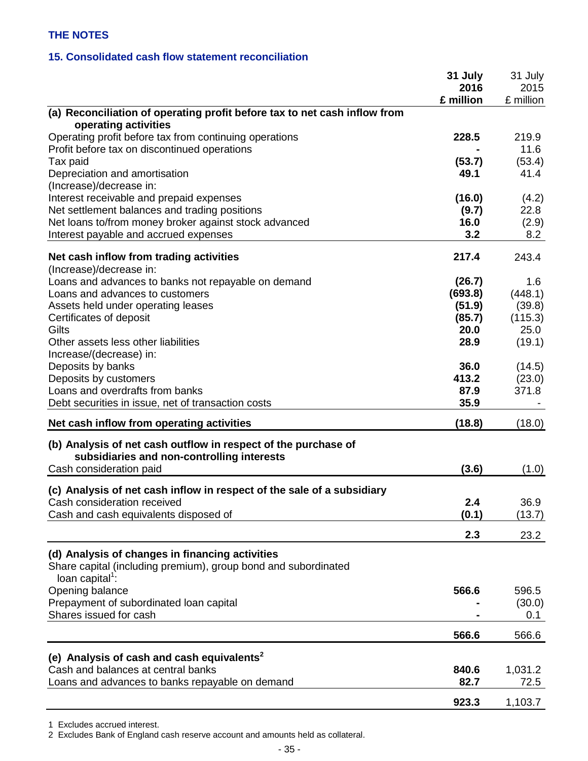#### **15. Consolidated cash flow statement reconciliation**

|                                                                           | 31 July<br>2016 | 31 July<br>2015 |
|---------------------------------------------------------------------------|-----------------|-----------------|
| (a) Reconciliation of operating profit before tax to net cash inflow from | £ million       | £ million       |
| operating activities                                                      |                 |                 |
| Operating profit before tax from continuing operations                    | 228.5           | 219.9           |
| Profit before tax on discontinued operations                              |                 | 11.6            |
| Tax paid                                                                  | (53.7)          | (53.4)          |
| Depreciation and amortisation                                             | 49.1            | 41.4            |
| (Increase)/decrease in:                                                   |                 |                 |
| Interest receivable and prepaid expenses                                  | (16.0)          | (4.2)           |
| Net settlement balances and trading positions                             | (9.7)           | 22.8            |
| Net loans to/from money broker against stock advanced                     | 16.0            | (2.9)           |
| Interest payable and accrued expenses                                     | 3.2             | 8.2             |
| Net cash inflow from trading activities                                   | 217.4           | 243.4           |
| (Increase)/decrease in:                                                   |                 |                 |
| Loans and advances to banks not repayable on demand                       | (26.7)          | 1.6             |
| Loans and advances to customers                                           | (693.8)         | (448.1)         |
| Assets held under operating leases                                        | (51.9)          | (39.8)          |
| Certificates of deposit                                                   | (85.7)          | (115.3)         |
| Gilts                                                                     | 20.0            | 25.0            |
| Other assets less other liabilities                                       | 28.9            | (19.1)          |
| Increase/(decrease) in:                                                   |                 |                 |
| Deposits by banks                                                         | 36.0            | (14.5)          |
| Deposits by customers                                                     | 413.2           | (23.0)          |
| Loans and overdrafts from banks                                           | 87.9            | 371.8           |
|                                                                           | 35.9            |                 |
| Debt securities in issue, net of transaction costs                        |                 |                 |
| Net cash inflow from operating activities                                 | (18.8)          | (18.0)          |
| (b) Analysis of net cash outflow in respect of the purchase of            |                 |                 |
| subsidiaries and non-controlling interests                                |                 |                 |
| Cash consideration paid                                                   | (3.6)           | (1.0)           |
| (c) Analysis of net cash inflow in respect of the sale of a subsidiary    |                 |                 |
| Cash consideration received                                               | 2.4             | 36.9            |
| Cash and cash equivalents disposed of                                     | (0.1)           | (13.7)          |
|                                                                           | 2.3             | 23.2            |
| (d) Analysis of changes in financing activities                           |                 |                 |
| Share capital (including premium), group bond and subordinated            |                 |                 |
| loan capital $^1$ :                                                       |                 |                 |
| Opening balance                                                           | 566.6           | 596.5           |
| Prepayment of subordinated loan capital                                   |                 | (30.0)          |
| Shares issued for cash                                                    |                 | 0.1             |
|                                                                           | 566.6           | 566.6           |
|                                                                           |                 |                 |
| (e) Analysis of cash and cash equivalents <sup>2</sup>                    |                 |                 |
| Cash and balances at central banks                                        | 840.6           | 1,031.2         |
| Loans and advances to banks repayable on demand                           | 82.7            | 72.5            |
|                                                                           | 923.3           | 1,103.7         |

1 Excludes accrued interest.

2 Excludes Bank of England cash reserve account and amounts held as collateral.